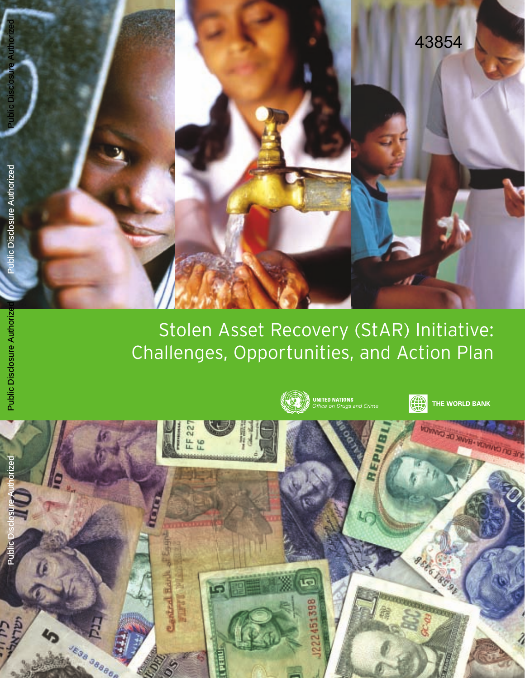

# S tolen As set Recovery (StAR) Initiative: Challenges, Opportunities, and Action Plan

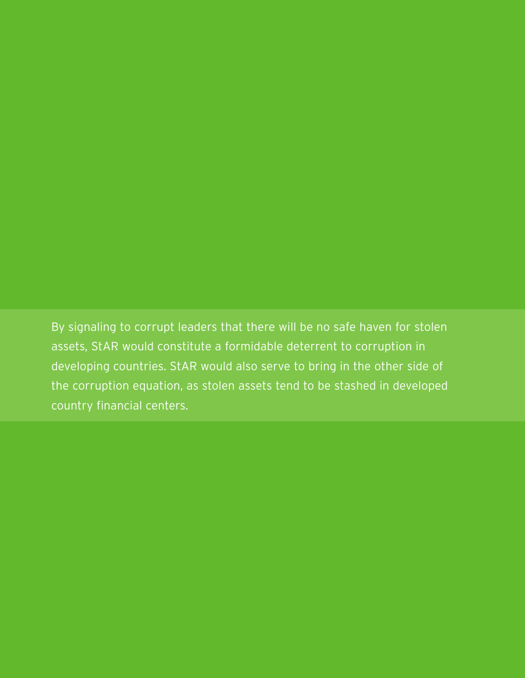By signaling to corrupt leaders that there will be no safe haven for stolen assets, StAR would constitute a formidable deterrent to corruption in developing countries. StAR would also serve to bring in the other side of the corruption equation, as stolen assets tend to be stashed in developed country financial centers.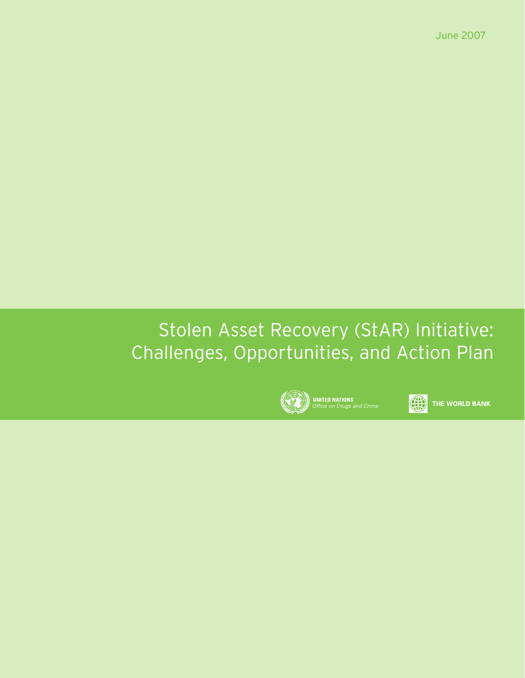June 2007

# Stolen Asset Recovery (StAR) Initiative: Challenges, Opportunities, and Action Plan



0

THE WORLD BANK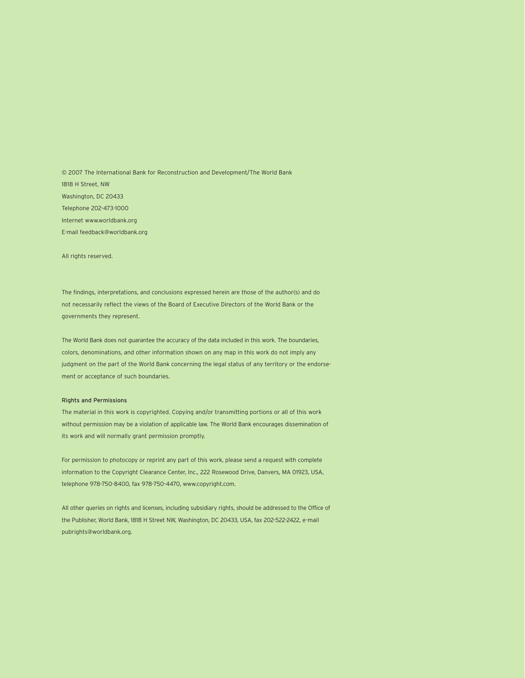© 2007 The International Bank for Reconstruction and Development/The World Bank 1818 H Street, NW Washington, DC 20433 Telephone 202-473-1000 Internet www.worldbank.org E-mail feedback@worldbank.org

All rights reserved.

The findings, interpretations, and conclusions expressed herein are those of the author(s) and do not necessarily reflect the views of the Board of Executive Directors of the World Bank or the governments they represent.

The World Bank does not guarantee the accuracy of the data included in this work. The boundaries, colors, denominations, and other information shown on any map in this work do not imply any judgment on the part of the World Bank concerning the legal status of any territory or the endorsement or acceptance of such boundaries.

#### Rights and Permissions

The material in this work is copyrighted. Copying and/or transmitting portions or all of this work without permission may be a violation of applicable law. The World Bank encourages dissemination of its work and will normally grant permission promptly.

For permission to photocopy or reprint any part of this work, please send a request with complete information to the Copyright Clearance Center, Inc., 222 Rosewood Drive, Danvers, MA 01923, USA, telephone 978-750-8400, fax 978-750-4470, www.copyright.com.

All other queries on rights and licenses, including subsidiary rights, should be addressed to the Office of the Publisher, World Bank, 1818 H Street NW, Washington, DC 20433, USA, fax 202-522-2422, e-mail pubrights@worldbank.org.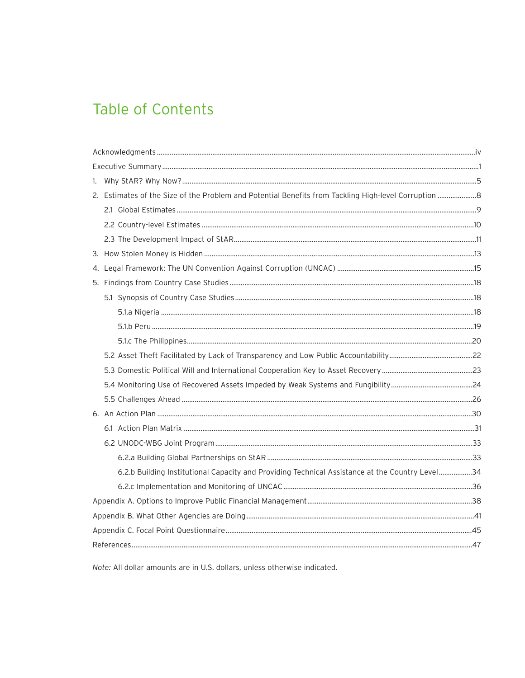## **Table of Contents**

| 6.2.b Building Institutional Capacity and Providing Technical Assistance at the Country Level34 |  |
|-------------------------------------------------------------------------------------------------|--|
|                                                                                                 |  |
|                                                                                                 |  |
|                                                                                                 |  |
|                                                                                                 |  |
|                                                                                                 |  |

Note: All dollar amounts are in U.S. dollars, unless otherwise indicated.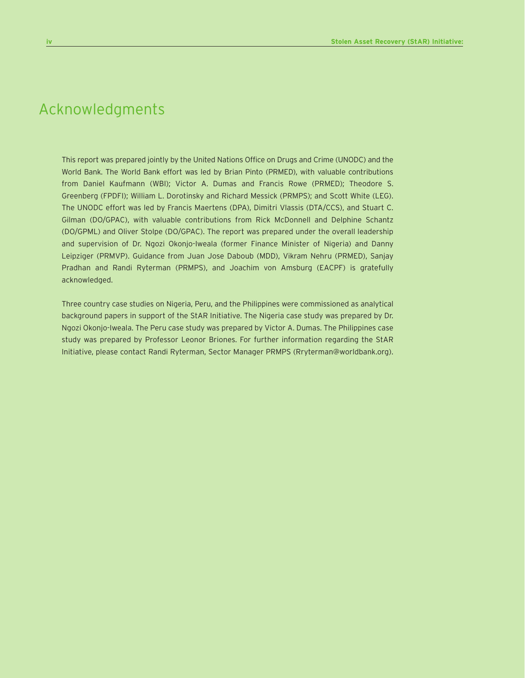## Acknowledgments

This report was prepared jointly by the United Nations Office on Drugs and Crime (UNODC) and the World Bank. The World Bank effort was led by Brian Pinto (PRMED), with valuable contributions from Daniel Kaufmann (WBI); Victor A. Dumas and Francis Rowe (PRMED); Theodore S. Greenberg (FPDFI); William L. Dorotinsky and Richard Messick (PRMPS); and Scott White (LEG). The UNODC effort was led by Francis Maertens (DPA), Dimitri Vlassis (DTA/CCS), and Stuart C. Gilman (DO/GPAC), with valuable contributions from Rick McDonnell and Delphine Schantz (DO/GPML) and Oliver Stolpe (DO/GPAC). The report was prepared under the overall leadership and supervision of Dr. Ngozi Okonjo-Iweala (former Finance Minister of Nigeria) and Danny Leipziger (PRMVP). Guidance from Juan Jose Daboub (MDD), Vikram Nehru (PRMED), Sanjay Pradhan and Randi Ryterman (PRMPS), and Joachim von Amsburg (EACPF) is gratefully acknowledged.

Three country case studies on Nigeria, Peru, and the Philippines were commissioned as analytical background papers in support of the StAR Initiative. The Nigeria case study was prepared by Dr. Ngozi Okonjo-Iweala. The Peru case study was prepared by Victor A. Dumas. The Philippines case study was prepared by Professor Leonor Briones. For further information regarding the StAR Initiative, please contact Randi Ryterman, Sector Manager PRMPS (Rryterman@worldbank.org).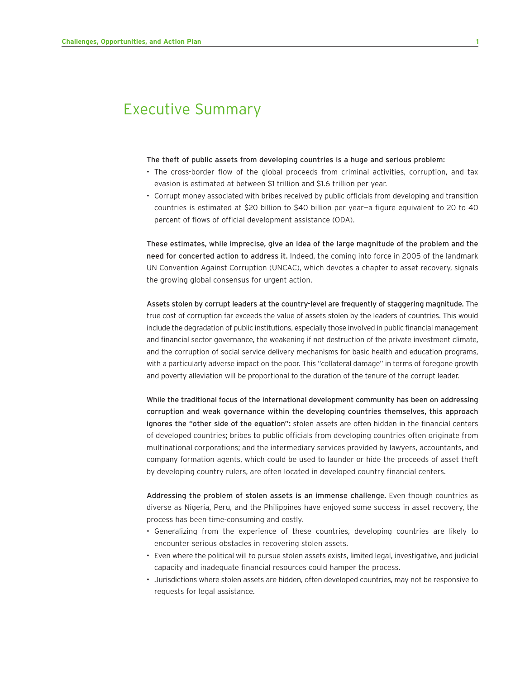### Executive Summary

#### The theft of public assets from developing countries is a huge and serious problem:

- The cross-border flow of the global proceeds from criminal activities, corruption, and tax evasion is estimated at between \$1 trillion and \$1.6 trillion per year.
- Corrupt money associated with bribes received by public officials from developing and transition countries is estimated at \$20 billion to \$40 billion per year—a figure equivalent to 20 to 40 percent of flows of official development assistance (ODA).

These estimates, while imprecise, give an idea of the large magnitude of the problem and the need for concerted action to address it. Indeed, the coming into force in 2005 of the landmark UN Convention Against Corruption (UNCAC), which devotes a chapter to asset recovery, signals the growing global consensus for urgent action.

Assets stolen by corrupt leaders at the country-level are frequently of staggering magnitude. The true cost of corruption far exceeds the value of assets stolen by the leaders of countries. This would include the degradation of public institutions, especially those involved in public financial management and financial sector governance, the weakening if not destruction of the private investment climate, and the corruption of social service delivery mechanisms for basic health and education programs, with a particularly adverse impact on the poor. This "collateral damage" in terms of foregone growth and poverty alleviation will be proportional to the duration of the tenure of the corrupt leader.

While the traditional focus of the international development community has been on addressing corruption and weak governance within the developing countries themselves, this approach ignores the "other side of the equation": stolen assets are often hidden in the financial centers of developed countries; bribes to public officials from developing countries often originate from multinational corporations; and the intermediary services provided by lawyers, accountants, and company formation agents, which could be used to launder or hide the proceeds of asset theft by developing country rulers, are often located in developed country financial centers.

Addressing the problem of stolen assets is an immense challenge. Even though countries as diverse as Nigeria, Peru, and the Philippines have enjoyed some success in asset recovery, the process has been time-consuming and costly.

- Generalizing from the experience of these countries, developing countries are likely to encounter serious obstacles in recovering stolen assets.
- Even where the political will to pursue stolen assets exists, limited legal, investigative, and judicial capacity and inadequate financial resources could hamper the process.
- Jurisdictions where stolen assets are hidden, often developed countries, may not be responsive to requests for legal assistance.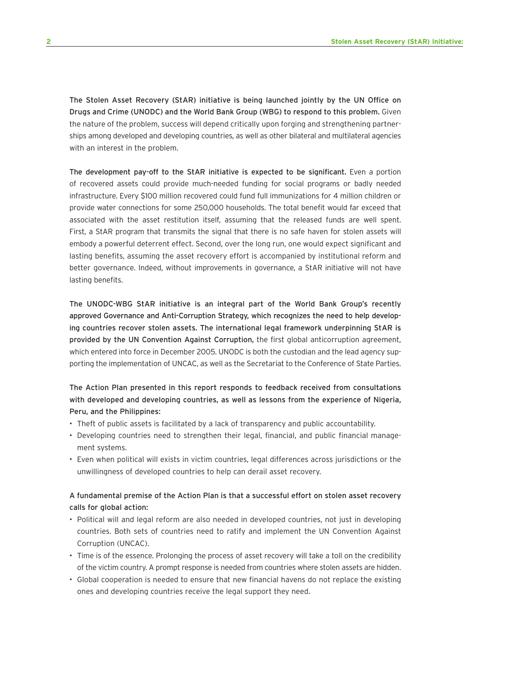The Stolen Asset Recovery (StAR) initiative is being launched jointly by the UN Office on Drugs and Crime (UNODC) and the World Bank Group (WBG) to respond to this problem. Given the nature of the problem, success will depend critically upon forging and strengthening partnerships among developed and developing countries, as well as other bilateral and multilateral agencies with an interest in the problem.

The development pay-off to the StAR initiative is expected to be significant. Even a portion of recovered assets could provide much-needed funding for social programs or badly needed infrastructure. Every \$100 million recovered could fund full immunizations for 4 million children or provide water connections for some 250,000 households. The total benefit would far exceed that associated with the asset restitution itself, assuming that the released funds are well spent. First, a StAR program that transmits the signal that there is no safe haven for stolen assets will embody a powerful deterrent effect. Second, over the long run, one would expect significant and lasting benefits, assuming the asset recovery effort is accompanied by institutional reform and better governance. Indeed, without improvements in governance, a StAR initiative will not have lasting benefits.

The UNODC-WBG StAR initiative is an integral part of the World Bank Group's recently approved Governance and Anti-Corruption Strategy, which recognizes the need to help developing countries recover stolen assets. The international legal framework underpinning StAR is provided by the UN Convention Against Corruption, the first global anticorruption agreement, which entered into force in December 2005. UNODC is both the custodian and the lead agency supporting the implementation of UNCAC, as well as the Secretariat to the Conference of State Parties.

The Action Plan presented in this report responds to feedback received from consultations with developed and developing countries, as well as lessons from the experience of Nigeria, Peru, and the Philippines:

- Theft of public assets is facilitated by a lack of transparency and public accountability.
- Developing countries need to strengthen their legal, financial, and public financial management systems.
- Even when political will exists in victim countries, legal differences across jurisdictions or the unwillingness of developed countries to help can derail asset recovery.

#### A fundamental premise of the Action Plan is that a successful effort on stolen asset recovery calls for global action:

- Political will and legal reform are also needed in developed countries, not just in developing countries. Both sets of countries need to ratify and implement the UN Convention Against Corruption (UNCAC).
- Time is of the essence. Prolonging the process of asset recovery will take a toll on the credibility of the victim country. A prompt response is needed from countries where stolen assets are hidden.
- Global cooperation is needed to ensure that new financial havens do not replace the existing ones and developing countries receive the legal support they need.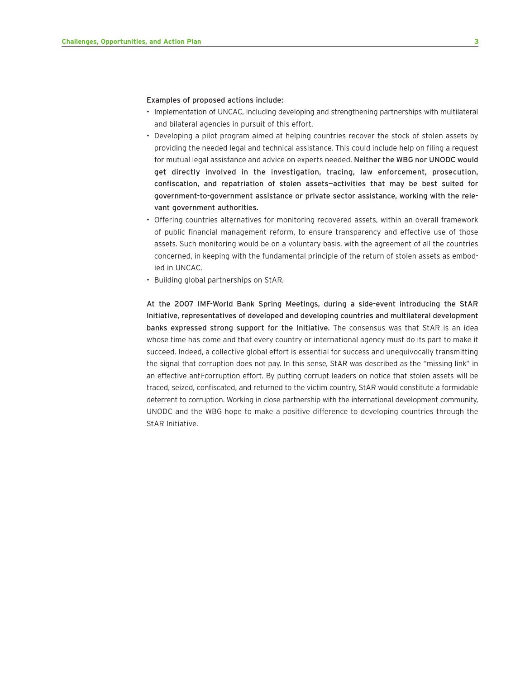#### Examples of proposed actions include:

- Implementation of UNCAC, including developing and strengthening partnerships with multilateral and bilateral agencies in pursuit of this effort.
- Developing a pilot program aimed at helping countries recover the stock of stolen assets by providing the needed legal and technical assistance. This could include help on filing a request for mutual legal assistance and advice on experts needed. Neither the WBG nor UNODC would get directly involved in the investigation, tracing, law enforcement, prosecution, confiscation, and repatriation of stolen assets—activities that may be best suited for government-to-government assistance or private sector assistance, working with the relevant government authorities.
- Offering countries alternatives for monitoring recovered assets, within an overall framework of public financial management reform, to ensure transparency and effective use of those assets. Such monitoring would be on a voluntary basis, with the agreement of all the countries concerned, in keeping with the fundamental principle of the return of stolen assets as embodied in UNCAC.
- Building global partnerships on StAR.

At the 2007 IMF-World Bank Spring Meetings, during a side-event introducing the StAR Initiative, representatives of developed and developing countries and multilateral development banks expressed strong support for the Initiative. The consensus was that StAR is an idea whose time has come and that every country or international agency must do its part to make it succeed. Indeed, a collective global effort is essential for success and unequivocally transmitting the signal that corruption does not pay. In this sense, StAR was described as the "missing link" in an effective anti-corruption effort. By putting corrupt leaders on notice that stolen assets will be traced, seized, confiscated, and returned to the victim country, StAR would constitute a formidable deterrent to corruption. Working in close partnership with the international development community, UNODC and the WBG hope to make a positive difference to developing countries through the StAR Initiative.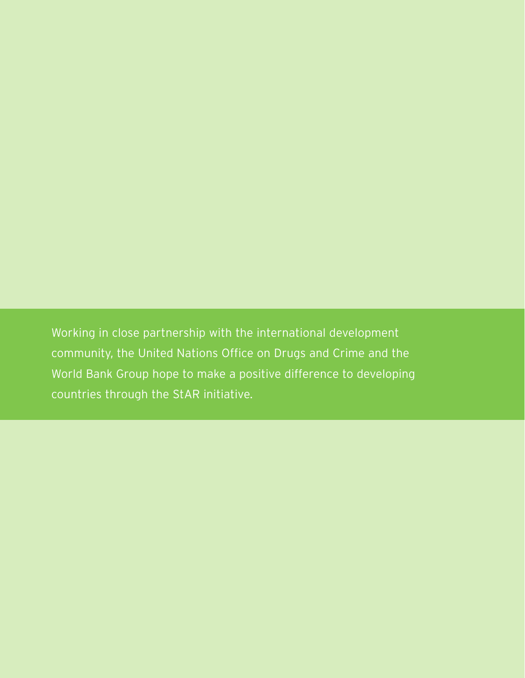Working in close partnership with the international development community, the United Nations Office on Drugs and Crime and the World Bank Group hope to make a positive difference to developing countries through the StAR initiative.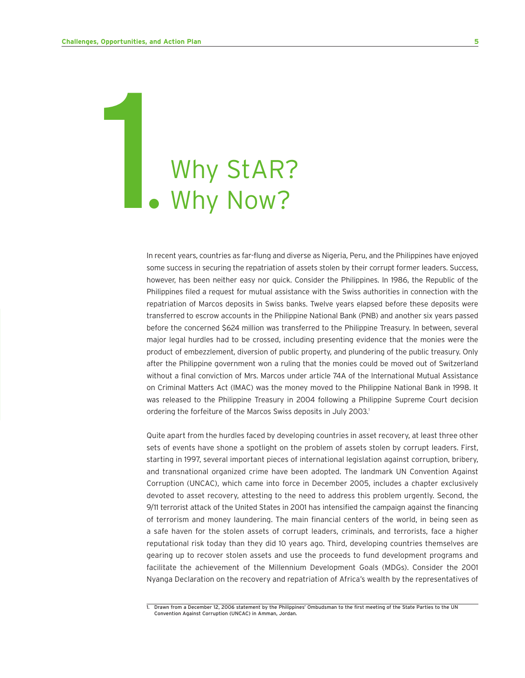# Why StAR?<br>• Why Now?

In recent years, countries as far-flung and diverse as Nigeria, Peru, and the Philippines have enjoyed some success in securing the repatriation of assets stolen by their corrupt former leaders. Success, however, has been neither easy nor quick. Consider the Philippines. In 1986, the Republic of the Philippines filed a request for mutual assistance with the Swiss authorities in connection with the repatriation of Marcos deposits in Swiss banks. Twelve years elapsed before these deposits were transferred to escrow accounts in the Philippine National Bank (PNB) and another six years passed before the concerned \$624 million was transferred to the Philippine Treasury. In between, several major legal hurdles had to be crossed, including presenting evidence that the monies were the product of embezzlement, diversion of public property, and plundering of the public treasury. Only after the Philippine government won a ruling that the monies could be moved out of Switzerland without a final conviction of Mrs. Marcos under article 74A of the International Mutual Assistance on Criminal Matters Act (IMAC) was the money moved to the Philippine National Bank in 1998. It was released to the Philippine Treasury in 2004 following a Philippine Supreme Court decision ordering the forfeiture of the Marcos Swiss deposits in July 2003.<sup>1</sup>

Quite apart from the hurdles faced by developing countries in asset recovery, at least three other sets of events have shone a spotlight on the problem of assets stolen by corrupt leaders. First, starting in 1997, several important pieces of international legislation against corruption, bribery, and transnational organized crime have been adopted. The landmark UN Convention Against Corruption (UNCAC), which came into force in December 2005, includes a chapter exclusively devoted to asset recovery, attesting to the need to address this problem urgently. Second, the 9/11 terrorist attack of the United States in 2001 has intensified the campaign against the financing of terrorism and money laundering. The main financial centers of the world, in being seen as a safe haven for the stolen assets of corrupt leaders, criminals, and terrorists, face a higher reputational risk today than they did 10 years ago. Third, developing countries themselves are gearing up to recover stolen assets and use the proceeds to fund development programs and facilitate the achievement of the Millennium Development Goals (MDGs). Consider the 2001 Nyanga Declaration on the recovery and repatriation of Africa's wealth by the representatives of

<sup>1.</sup> Drawn from a December 12, 2006 statement by the Philippines' Ombudsman to the first meeting of the State Parties to the UN Convention Against Corruption (UNCAC) in Amman, Jordan.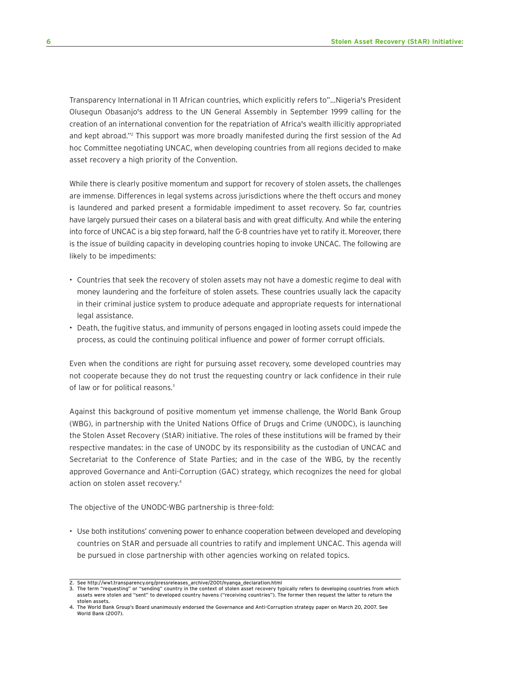Transparency International in 11 African countries, which explicitly refers to"…Nigeria's President Olusegun Obasanjo's address to the UN General Assembly in September 1999 calling for the creation of an international convention for the repatriation of Africa's wealth illicitly appropriated and kept abroad."<sup>2</sup> This support was more broadly manifested during the first session of the Ad hoc Committee negotiating UNCAC, when developing countries from all regions decided to make asset recovery a high priority of the Convention.

While there is clearly positive momentum and support for recovery of stolen assets, the challenges are immense. Differences in legal systems across jurisdictions where the theft occurs and money is laundered and parked present a formidable impediment to asset recovery. So far, countries have largely pursued their cases on a bilateral basis and with great difficulty. And while the entering into force of UNCAC is a big step forward, half the G-8 countries have yet to ratify it. Moreover, there is the issue of building capacity in developing countries hoping to invoke UNCAC. The following are likely to be impediments:

- Countries that seek the recovery of stolen assets may not have a domestic regime to deal with money laundering and the forfeiture of stolen assets. These countries usually lack the capacity in their criminal justice system to produce adequate and appropriate requests for international legal assistance.
- Death, the fugitive status, and immunity of persons engaged in looting assets could impede the process, as could the continuing political influence and power of former corrupt officials.

Even when the conditions are right for pursuing asset recovery, some developed countries may not cooperate because they do not trust the requesting country or lack confidence in their rule of law or for political reasons.<sup>3</sup>

Against this background of positive momentum yet immense challenge, the World Bank Group (WBG), in partnership with the United Nations Office of Drugs and Crime (UNODC), is launching the Stolen Asset Recovery (StAR) initiative. The roles of these institutions will be framed by their respective mandates: in the case of UNODC by its responsibility as the custodian of UNCAC and Secretariat to the Conference of State Parties; and in the case of the WBG, by the recently approved Governance and Anti-Corruption (GAC) strategy, which recognizes the need for global action on stolen asset recovery.4

The objective of the UNODC-WBG partnership is three-fold:

• Use both institutions' convening power to enhance cooperation between developed and developing countries on StAR and persuade all countries to ratify and implement UNCAC. This agenda will be pursued in close partnership with other agencies working on related topics.

<sup>2.</sup> See http://ww1.transparency.org/pressreleases\_archive/2001/nyanga\_declaration.html

<sup>3.</sup> The term "requesting" or "sending" country in the context of stolen asset recovery typically refers to developing countries from which assets were stolen and "sent" to developed country havens ("receiving countries"). The former then request the latter to return the stolen assets.

<sup>4.</sup> The World Bank Group's Board unanimously endorsed the Governance and Anti-Corruption strategy paper on March 20, 2007. See World Bank (2007).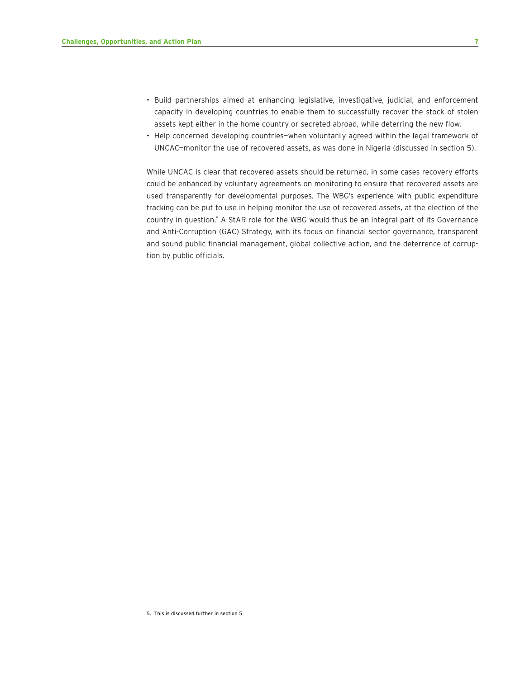- Build partnerships aimed at enhancing legislative, investigative, judicial, and enforcement capacity in developing countries to enable them to successfully recover the stock of stolen assets kept either in the home country or secreted abroad, while deterring the new flow.
- Help concerned developing countries—when voluntarily agreed within the legal framework of UNCAC—monitor the use of recovered assets, as was done in Nigeria (discussed in section 5).

While UNCAC is clear that recovered assets should be returned, in some cases recovery efforts could be enhanced by voluntary agreements on monitoring to ensure that recovered assets are used transparently for developmental purposes. The WBG's experience with public expenditure tracking can be put to use in helping monitor the use of recovered assets, at the election of the country in question.<sup>5</sup> A StAR role for the WBG would thus be an integral part of its Governance and Anti-Corruption (GAC) Strategy, with its focus on financial sector governance, transparent and sound public financial management, global collective action, and the deterrence of corruption by public officials.

<sup>5.</sup> This is discussed further in section 5.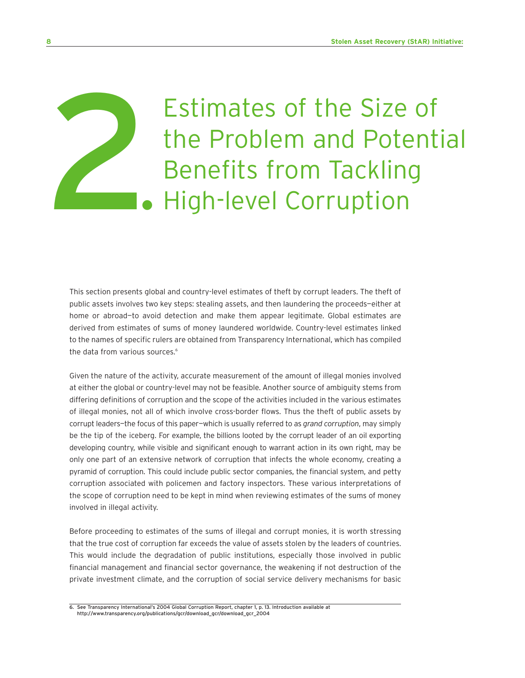# Estimates of the Size of the Problem and Potential Estimates of the Size of the Size of the Problem and Poter<br>Benefits from Tackling<br>• High-level Corruption

This section presents global and country-level estimates of theft by corrupt leaders. The theft of public assets involves two key steps: stealing assets, and then laundering the proceeds—either at home or abroad—to avoid detection and make them appear legitimate. Global estimates are derived from estimates of sums of money laundered worldwide. Country-level estimates linked to the names of specific rulers are obtained from Transparency International, which has compiled the data from various sources.<sup>6</sup>

Given the nature of the activity, accurate measurement of the amount of illegal monies involved at either the global or country-level may not be feasible. Another source of ambiguity stems from differing definitions of corruption and the scope of the activities included in the various estimates of illegal monies, not all of which involve cross-border flows. Thus the theft of public assets by corrupt leaders—the focus of this paper—which is usually referred to as *grand corruption*, may simply be the tip of the iceberg. For example, the billions looted by the corrupt leader of an oil exporting developing country, while visible and significant enough to warrant action in its own right, may be only one part of an extensive network of corruption that infects the whole economy, creating a pyramid of corruption. This could include public sector companies, the financial system, and petty corruption associated with policemen and factory inspectors. These various interpretations of the scope of corruption need to be kept in mind when reviewing estimates of the sums of money involved in illegal activity.

Before proceeding to estimates of the sums of illegal and corrupt monies, it is worth stressing that the true cost of corruption far exceeds the value of assets stolen by the leaders of countries. This would include the degradation of public institutions, especially those involved in public financial management and financial sector governance, the weakening if not destruction of the private investment climate, and the corruption of social service delivery mechanisms for basic

<sup>6.</sup> See Transparency International's 2004 Global Corruption Report, chapter 1, p. 13. Introduction available at http://www.transparency.org/publications/gcr/download\_gcr/download\_gcr\_2004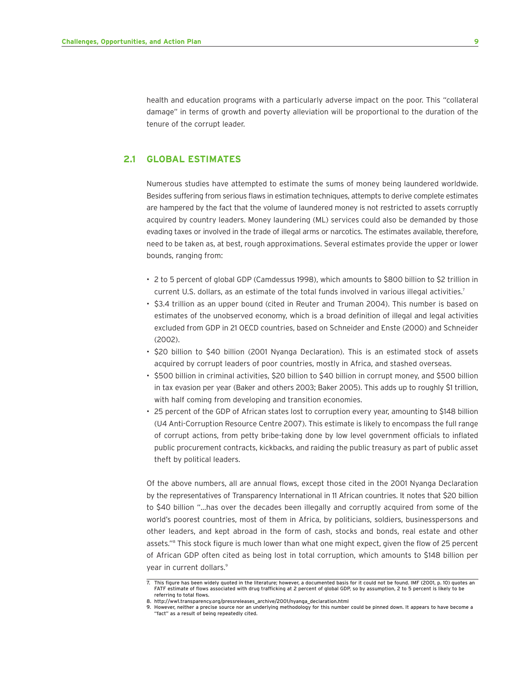health and education programs with a particularly adverse impact on the poor. This "collateral damage" in terms of growth and poverty alleviation will be proportional to the duration of the tenure of the corrupt leader.

#### **2.1 GLOBAL ESTIMATES**

Numerous studies have attempted to estimate the sums of money being laundered worldwide. Besides suffering from serious flaws in estimation techniques, attempts to derive complete estimates are hampered by the fact that the volume of laundered money is not restricted to assets corruptly acquired by country leaders. Money laundering (ML) services could also be demanded by those evading taxes or involved in the trade of illegal arms or narcotics. The estimates available, therefore, need to be taken as, at best, rough approximations. Several estimates provide the upper or lower bounds, ranging from:

- 2 to 5 percent of global GDP (Camdessus 1998), which amounts to \$800 billion to \$2 trillion in current U.S. dollars, as an estimate of the total funds involved in various illegal activities.<sup>7</sup>
- \$3.4 trillion as an upper bound (cited in Reuter and Truman 2004). This number is based on estimates of the unobserved economy, which is a broad definition of illegal and legal activities excluded from GDP in 21 OECD countries, based on Schneider and Enste (2000) and Schneider (2002).
- \$20 billion to \$40 billion (2001 Nyanga Declaration). This is an estimated stock of assets acquired by corrupt leaders of poor countries, mostly in Africa, and stashed overseas.
- \$500 billion in criminal activities, \$20 billion to \$40 billion in corrupt money, and \$500 billion in tax evasion per year (Baker and others 2003; Baker 2005). This adds up to roughly \$1 trillion, with half coming from developing and transition economies.
- 25 percent of the GDP of African states lost to corruption every year, amounting to \$148 billion (U4 Anti-Corruption Resource Centre 2007). This estimate is likely to encompass the full range of corrupt actions, from petty bribe-taking done by low level government officials to inflated public procurement contracts, kickbacks, and raiding the public treasury as part of public asset theft by political leaders.

Of the above numbers, all are annual flows, except those cited in the 2001 Nyanga Declaration by the representatives of Transparency International in 11 African countries. It notes that \$20 billion to \$40 billion "…has over the decades been illegally and corruptly acquired from some of the world's poorest countries, most of them in Africa, by politicians, soldiers, businesspersons and other leaders, and kept abroad in the form of cash, stocks and bonds, real estate and other assets."8 This stock figure is much lower than what one might expect, given the flow of 25 percent of African GDP often cited as being lost in total corruption, which amounts to \$148 billion per year in current dollars.9

<sup>7.</sup> This figure has been widely quoted in the literature; however, a documented basis for it could not be found. IMF (2001, p. 10) quotes an FATF estimate of flows associated with drug trafficking at 2 percent of global GDP, so by assumption, 2 to 5 percent is likely to be referring to total flows.

<sup>8.</sup> http://ww1.transparency.org/pressreleases\_archive/2001/nyanga\_declaration.html

<sup>9.</sup> However, neither a precise source nor an underlying methodology for this number could be pinned down. It appears to have become a "fact" as a result of being repeatedly cited.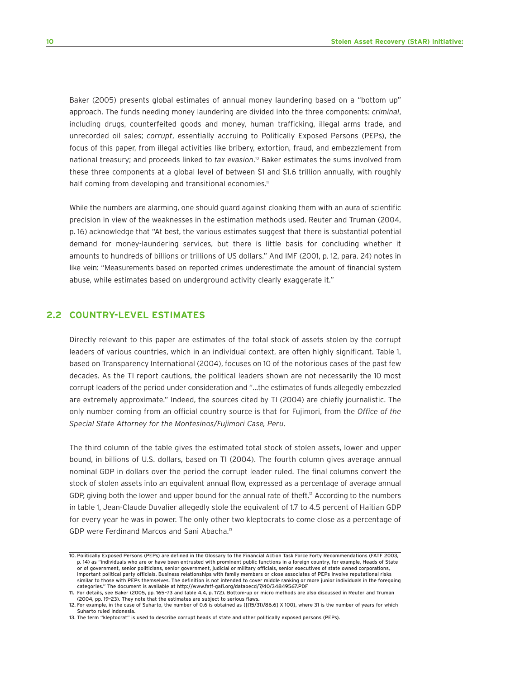Baker (2005) presents global estimates of annual money laundering based on a "bottom up" approach. The funds needing money laundering are divided into the three components: *criminal*, including drugs, counterfeited goods and money, human trafficking, illegal arms trade, and unrecorded oil sales; *corrupt*, essentially accruing to Politically Exposed Persons (PEPs), the focus of this paper, from illegal activities like bribery, extortion, fraud, and embezzlement from national treasury; and proceeds linked to *tax evasion*. <sup>10</sup> Baker estimates the sums involved from these three components at a global level of between \$1 and \$1.6 trillion annually, with roughly half coming from developing and transitional economies.<sup>11</sup>

While the numbers are alarming, one should guard against cloaking them with an aura of scientific precision in view of the weaknesses in the estimation methods used. Reuter and Truman (2004, p. 16) acknowledge that "At best, the various estimates suggest that there is substantial potential demand for money-laundering services, but there is little basis for concluding whether it amounts to hundreds of billions or trillions of US dollars." And IMF (2001, p. 12, para. 24) notes in like vein: "Measurements based on reported crimes underestimate the amount of financial system abuse, while estimates based on underground activity clearly exaggerate it."

#### **2.2 COUNTRY-LEVEL ESTIMATES**

Directly relevant to this paper are estimates of the total stock of assets stolen by the corrupt leaders of various countries, which in an individual context, are often highly significant. Table 1, based on Transparency International (2004), focuses on 10 of the notorious cases of the past few decades. As the TI report cautions, the political leaders shown are not necessarily the 10 most corrupt leaders of the period under consideration and "…the estimates of funds allegedly embezzled are extremely approximate." Indeed, the sources cited by TI (2004) are chiefly journalistic. The only number coming from an official country source is that for Fujimori, from the *Office of the Special State Attorney for the Montesinos/Fujimori Case, Peru*.

The third column of the table gives the estimated total stock of stolen assets, lower and upper bound, in billions of U.S. dollars, based on TI (2004). The fourth column gives average annual nominal GDP in dollars over the period the corrupt leader ruled. The final columns convert the stock of stolen assets into an equivalent annual flow, expressed as a percentage of average annual GDP, giving both the lower and upper bound for the annual rate of theft.<sup>12</sup> According to the numbers in table 1, Jean-Claude Duvalier allegedly stole the equivalent of 1.7 to 4.5 percent of Haitian GDP for every year he was in power. The only other two kleptocrats to come close as a percentage of GDP were Ferdinand Marcos and Sani Abacha.13

<sup>10.</sup> Politically Exposed Persons (PEPs) are defined in the Glossary to the Financial Action Task Force Forty Recommendations (FATF 2003, p. 14) as "individuals who are or have been entrusted with prominent public functions in a foreign country, for example, Heads of State or of government, senior politicians, senior government, judicial or military officials, senior executives of state owned corporations, important political party officials. Business relationships with family members or close associates of PEPs involve reputational risks similar to those with PEPs themselves. The definition is not intended to cover middle ranking or more junior individuals in the foregoing categories." The document is available at http://www.fatf-gafi.org/dataoecd/7/40/34849567.PDF

<sup>11.</sup> For details, see Baker (2005, pp. 165–73 and table 4.4, p. 172). Bottom-up or micro methods are also discussed in Reuter and Truman (2004, pp. 19–23). They note that the estimates are subject to serious flaws.

<sup>12.</sup> For example, in the case of Suharto, the number of 0.6 is obtained as {[(15/31)/86.6] X 100}, where 31 is the number of years for which Suharto ruled Indonesia.

<sup>13.</sup> The term "kleptocrat" is used to describe corrupt heads of state and other politically exposed persons (PEPs).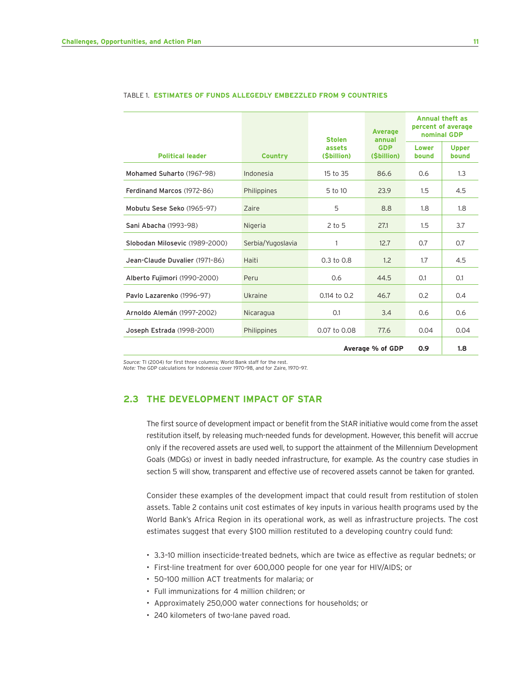|                                |                   | <b>Stolen</b>        | <b>Average</b><br>annual<br><b>GDP</b><br>(Sbillion) | <b>Annual theft as</b><br>percent of average<br>nominal GDP |                       |
|--------------------------------|-------------------|----------------------|------------------------------------------------------|-------------------------------------------------------------|-----------------------|
| <b>Political leader</b>        | <b>Country</b>    | assets<br>(Sbillion) |                                                      | Lower<br>bound                                              | <b>Upper</b><br>bound |
| Mohamed Suharto (1967-98)      | Indonesia         | 15 to 35             | 86.6                                                 | 0.6                                                         | 1.3                   |
| Ferdinand Marcos (1972-86)     | Philippines       | 5 to 10              | 23.9                                                 | 1.5                                                         | 4.5                   |
| Mobutu Sese Seko (1965-97)     | Zaire             | 5                    | 8.8                                                  | 1.8                                                         | 1.8                   |
| Sani Abacha (1993-98)          | Nigeria           | $2$ to 5             | 27.1                                                 | $1.5\,$                                                     | 3.7                   |
| Slobodan Milosevic (1989-2000) | Serbia/Yugoslavia | 1                    | 12.7                                                 | 0.7                                                         | 0.7                   |
| Jean-Claude Duvalier (1971-86) | Haiti             | $0.3$ to $0.8$       | 1.2                                                  | 1.7                                                         | 4.5                   |
| Alberto Fujimori (1990-2000)   | Peru              | 0.6                  | 44.5                                                 | 0.1                                                         | 0.1                   |
| Pavlo Lazarenko (1996-97)      | Ukraine           | 0.114 to 0.2         | 46.7                                                 | 0.2                                                         | 0.4                   |
| Arnoldo Alemán (1997-2002)     | Nicaragua         | 0.1                  | 3.4                                                  | 0.6                                                         | 0.6                   |
| Joseph Estrada (1998-2001)     | Philippines       | 0.07 to 0.08         | 77.6                                                 | 0.04                                                        | 0.04                  |
| 0.9<br>Average % of GDP        |                   |                      |                                                      | 1.8                                                         |                       |

#### TABLE 1. **ESTIMATES OF FUNDS ALLEGEDLY EMBEZZLED FROM 9 COUNTRIES**

*Source:* TI (2004) for first three columns; World Bank staff for the rest.

*Note:* The GDP calculations for Indonesia cover 1970–98, and for Zaire, 1970–97.

#### **2.3 THE DEVELOPMENT IMPACT OF STAR**

The first source of development impact or benefit from the StAR initiative would come from the asset restitution itself, by releasing much-needed funds for development. However, this benefit will accrue only if the recovered assets are used well, to support the attainment of the Millennium Development Goals (MDGs) or invest in badly needed infrastructure, for example. As the country case studies in section 5 will show, transparent and effective use of recovered assets cannot be taken for granted.

Consider these examples of the development impact that could result from restitution of stolen assets. Table 2 contains unit cost estimates of key inputs in various health programs used by the World Bank's Africa Region in its operational work, as well as infrastructure projects. The cost estimates suggest that every \$100 million restituted to a developing country could fund:

- 3.3–10 million insecticide-treated bednets, which are twice as effective as regular bednets; or
- First-line treatment for over 600,000 people for one year for HIV/AIDS; or
- 50–100 million ACT treatments for malaria; or
- Full immunizations for 4 million children; or
- Approximately 250,000 water connections for households; or
- 240 kilometers of two-lane paved road.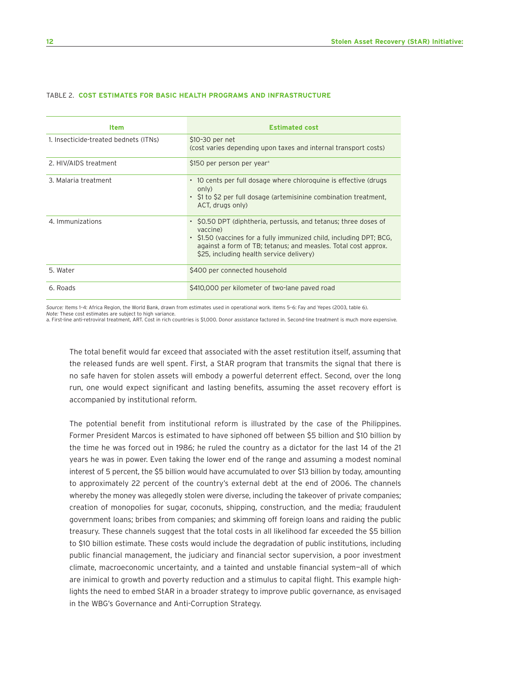| <b>Item</b>                           | <b>Estimated cost</b>                                                                                                                                                                                                                                            |
|---------------------------------------|------------------------------------------------------------------------------------------------------------------------------------------------------------------------------------------------------------------------------------------------------------------|
| 1. Insecticide-treated bednets (ITNs) | \$10-30 per net<br>(cost varies depending upon taxes and internal transport costs)                                                                                                                                                                               |
| 2. HIV/AIDS treatment                 | \$150 per person per year <sup>a</sup>                                                                                                                                                                                                                           |
| 3. Malaria treatment                  | • 10 cents per full dosage where chloroquine is effective (drugs<br>only)<br>• S1 to S2 per full dosage (artemisinine combination treatment,<br>ACT, drugs only)                                                                                                 |
| 4. Immunizations                      | • SO.50 DPT (diphtheria, pertussis, and tetanus; three doses of<br>vaccine)<br>• \$1.50 (vaccines for a fully immunized child, including DPT; BCG,<br>against a form of TB; tetanus; and measles. Total cost approx.<br>\$25, including health service delivery) |
| 5. Water                              | \$400 per connected household                                                                                                                                                                                                                                    |
| 6. Roads                              | \$410,000 per kilometer of two-lane paved road                                                                                                                                                                                                                   |

#### TABLE 2. **COST ESTIMATES FOR BASIC HEALTH PROGRAMS AND INFRASTRUCTURE**

*Source:* Items 1–4: Africa Region, the World Bank, drawn from estimates used in operational work. Items 5–6: Fay and Yepes (2003, table 6). *Note:* These cost estimates are subject to high variance.

a. First-line anti-retroviral treatment, ART. Cost in rich countries is \$1,000. Donor assistance factored in. Second-line treatment is much more expensive.

The total benefit would far exceed that associated with the asset restitution itself, assuming that the released funds are well spent. First, a StAR program that transmits the signal that there is no safe haven for stolen assets will embody a powerful deterrent effect. Second, over the long run, one would expect significant and lasting benefits, assuming the asset recovery effort is accompanied by institutional reform.

The potential benefit from institutional reform is illustrated by the case of the Philippines. Former President Marcos is estimated to have siphoned off between \$5 billion and \$10 billion by the time he was forced out in 1986; he ruled the country as a dictator for the last 14 of the 21 years he was in power. Even taking the lower end of the range and assuming a modest nominal interest of 5 percent, the \$5 billion would have accumulated to over \$13 billion by today, amounting to approximately 22 percent of the country's external debt at the end of 2006. The channels whereby the money was allegedly stolen were diverse, including the takeover of private companies; creation of monopolies for sugar, coconuts, shipping, construction, and the media; fraudulent government loans; bribes from companies; and skimming off foreign loans and raiding the public treasury. These channels suggest that the total costs in all likelihood far exceeded the \$5 billion to \$10 billion estimate. These costs would include the degradation of public institutions, including public financial management, the judiciary and financial sector supervision, a poor investment climate, macroeconomic uncertainty, and a tainted and unstable financial system—all of which are inimical to growth and poverty reduction and a stimulus to capital flight. This example highlights the need to embed StAR in a broader strategy to improve public governance, as envisaged in the WBG's Governance and Anti-Corruption Strategy.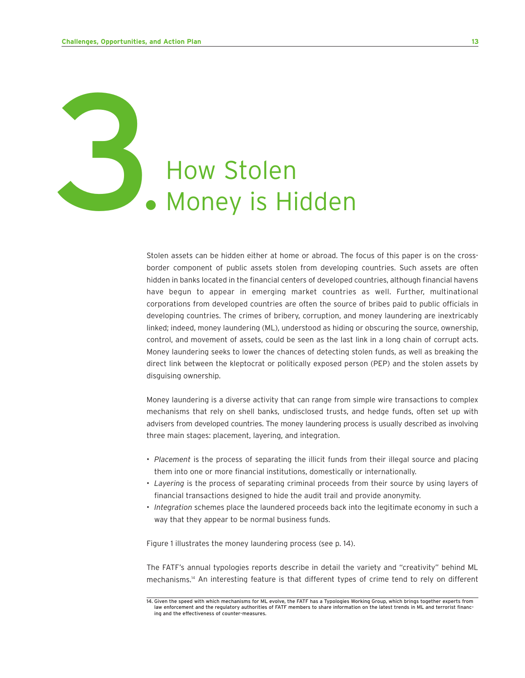# How Stolen<br>• Money is Hidden

Stolen assets can be hidden either at home or abroad. The focus of this paper is on the crossborder component of public assets stolen from developing countries. Such assets are often hidden in banks located in the financial centers of developed countries, although financial havens have begun to appear in emerging market countries as well. Further, multinational corporations from developed countries are often the source of bribes paid to public officials in developing countries. The crimes of bribery, corruption, and money laundering are inextricably linked; indeed, money laundering (ML), understood as hiding or obscuring the source, ownership, control, and movement of assets, could be seen as the last link in a long chain of corrupt acts. Money laundering seeks to lower the chances of detecting stolen funds, as well as breaking the direct link between the kleptocrat or politically exposed person (PEP) and the stolen assets by disguising ownership.

Money laundering is a diverse activity that can range from simple wire transactions to complex mechanisms that rely on shell banks, undisclosed trusts, and hedge funds, often set up with advisers from developed countries. The money laundering process is usually described as involving three main stages: placement, layering, and integration.

- *Placement* is the process of separating the illicit funds from their illegal source and placing them into one or more financial institutions, domestically or internationally.
- *Layering* is the process of separating criminal proceeds from their source by using layers of financial transactions designed to hide the audit trail and provide anonymity.
- *Integration* schemes place the laundered proceeds back into the legitimate economy in such a way that they appear to be normal business funds.

Figure 1 illustrates the money laundering process (see p. 14).

The FATF's annual typologies reports describe in detail the variety and "creativity" behind ML mechanisms.14 An interesting feature is that different types of crime tend to rely on different

<sup>14.</sup> Given the speed with which mechanisms for ML evolve, the FATF has a Typologies Working Group, which brings together experts from law enforcement and the regulatory authorities of FATF members to share information on the latest trends in ML and terrorist financing and the effectiveness of counter-measures.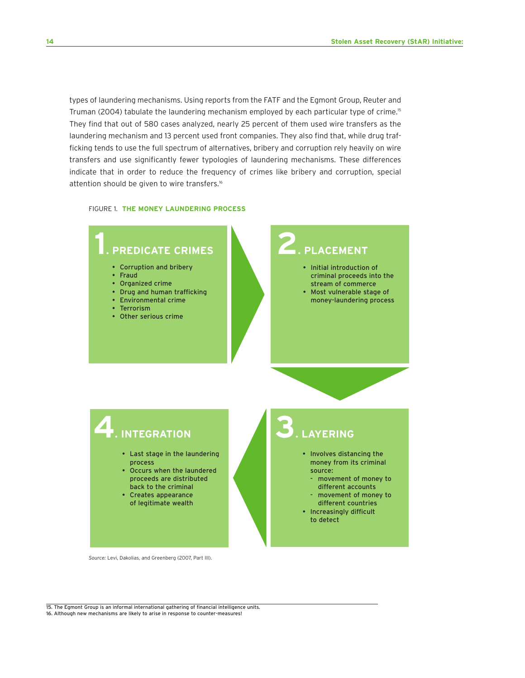types of laundering mechanisms. Using reports from the FATF and the Egmont Group, Reuter and Truman (2004) tabulate the laundering mechanism employed by each particular type of crime.<sup>15</sup> They find that out of 580 cases analyzed, nearly 25 percent of them used wire transfers as the laundering mechanism and 13 percent used front companies. They also find that, while drug trafficking tends to use the full spectrum of alternatives, bribery and corruption rely heavily on wire transfers and use significantly fewer typologies of laundering mechanisms. These differences indicate that in order to reduce the frequency of crimes like bribery and corruption, special attention should be given to wire transfers.<sup>16</sup>

#### FIGURE 1. **THE MONEY LAUNDERING PROCESS**



*Source:* Levi, Dakolias, and Greenberg (2007, Part III).

15. The Egmont Group is an informal international gathering of financial intelligence units. 16. Although new mechanisms are likely to arise in response to counter-measures!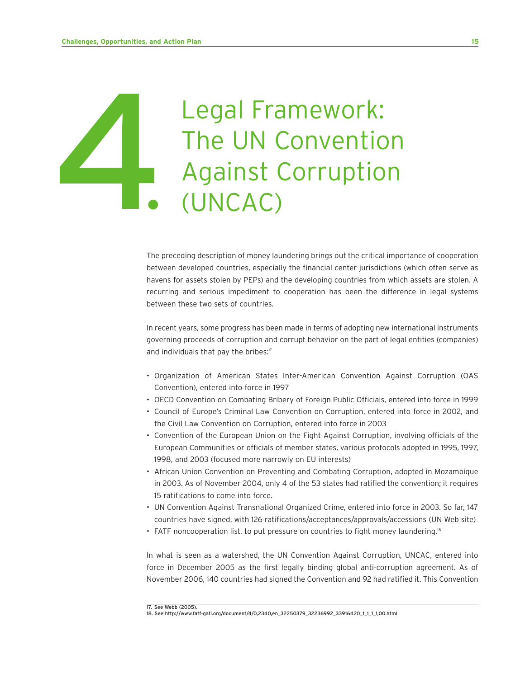# Legal Framework: The UN Convention Legal Framework:<br>The UN Convention<br>Against Corruption<br>CUNCAC)

The preceding description of money laundering brings out the critical importance of cooperation between developed countries, especially the financial center jurisdictions (which often serve as havens for assets stolen by PEPs) and the developing countries from which assets are stolen. A recurring and serious impediment to cooperation has been the difference in legal systems between these two sets of countries.

In recent years, some progress has been made in terms of adopting new international instruments governing proceeds of corruption and corrupt behavior on the part of legal entities (companies) and individuals that pay the bribes: $17$ 

- Organization of American States Inter-American Convention Against Corruption (OAS Convention), entered into force in 1997
- OECD Convention on Combating Bribery of Foreign Public Officials, entered into force in 1999
- Council of Europe's Criminal Law Convention on Corruption, entered into force in 2002, and the Civil Law Convention on Corruption, entered into force in 2003
- Convention of the European Union on the Fight Against Corruption, involving officials of the European Communities or officials of member states, various protocols adopted in 1995, 1997, 1998, and 2003 (focused more narrowly on EU interests)
- African Union Convention on Preventing and Combating Corruption, adopted in Mozambique in 2003. As of November 2004, only 4 of the 53 states had ratified the convention; it requires 15 ratifications to come into force.
- UN Convention Against Transnational Organized Crime, entered into force in 2003. So far, 147 countries have signed, with 126 ratifications/acceptances/approvals/accessions (UN Web site)
- FATF noncooperation list, to put pressure on countries to fight money laundering.<sup>18</sup>

In what is seen as a watershed, the UN Convention Against Corruption, UNCAC, entered into force in December 2005 as the first legally binding global anti-corruption agreement. As of November 2006, 140 countries had signed the Convention and 92 had ratified it. This Convention

<sup>17.</sup> See Webb (2005).

<sup>18.</sup> See http://www.fatf-gafi.org/document/4/0,2340,en\_32250379\_32236992\_33916420\_1\_1\_1\_1,00.html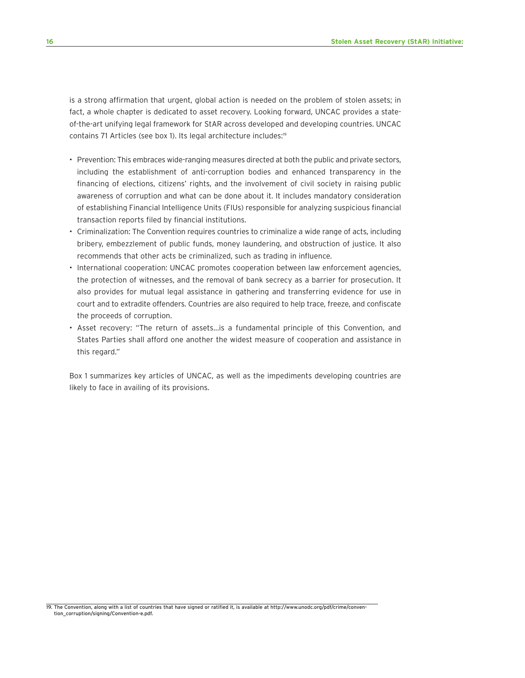is a strong affirmation that urgent, global action is needed on the problem of stolen assets; in fact, a whole chapter is dedicated to asset recovery. Looking forward, UNCAC provides a stateof-the-art unifying legal framework for StAR across developed and developing countries. UNCAC contains 71 Articles (see box 1). Its legal architecture includes:<sup>19</sup>

- Prevention: This embraces wide-ranging measures directed at both the public and private sectors, including the establishment of anti-corruption bodies and enhanced transparency in the financing of elections, citizens' rights, and the involvement of civil society in raising public awareness of corruption and what can be done about it. It includes mandatory consideration of establishing Financial Intelligence Units (FIUs) responsible for analyzing suspicious financial transaction reports filed by financial institutions.
- Criminalization: The Convention requires countries to criminalize a wide range of acts, including bribery, embezzlement of public funds, money laundering, and obstruction of justice. It also recommends that other acts be criminalized, such as trading in influence.
- International cooperation: UNCAC promotes cooperation between law enforcement agencies, the protection of witnesses, and the removal of bank secrecy as a barrier for prosecution. It also provides for mutual legal assistance in gathering and transferring evidence for use in court and to extradite offenders. Countries are also required to help trace, freeze, and confiscate the proceeds of corruption.
- Asset recovery: "The return of assets…is a fundamental principle of this Convention, and States Parties shall afford one another the widest measure of cooperation and assistance in this regard."

Box 1 summarizes key articles of UNCAC, as well as the impediments developing countries are likely to face in availing of its provisions.

19. The Convention, along with a list of countries that have signed or ratified it, is available at http://www.unodc.org/pdf/crime/convention\_corruption/signing/Convention-e.pdf.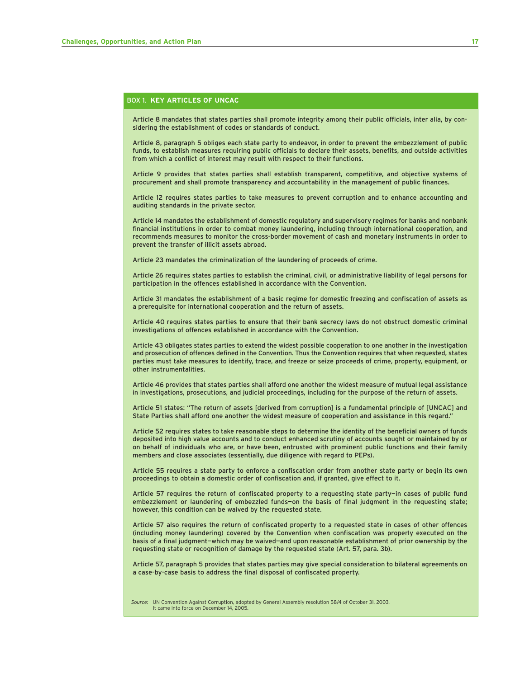#### BOX 1. **KEY ARTICLES OF UNCAC**

Article 8 mandates that states parties shall promote integrity among their public officials, inter alia, by considering the establishment of codes or standards of conduct.

Article 8, paragraph 5 obliges each state party to endeavor, in order to prevent the embezzlement of public funds, to establish measures requiring public officials to declare their assets, benefits, and outside activities from which a conflict of interest may result with respect to their functions.

Article 9 provides that states parties shall establish transparent, competitive, and objective systems of procurement and shall promote transparency and accountability in the management of public finances.

Article 12 requires states parties to take measures to prevent corruption and to enhance accounting and auditing standards in the private sector.

Article 14 mandates the establishment of domestic regulatory and supervisory regimes for banks and nonbank financial institutions in order to combat money laundering, including through international cooperation, and recommends measures to monitor the cross-border movement of cash and monetary instruments in order to prevent the transfer of illicit assets abroad.

Article 23 mandates the criminalization of the laundering of proceeds of crime.

Article 26 requires states parties to establish the criminal, civil, or administrative liability of legal persons for participation in the offences established in accordance with the Convention.

Article 31 mandates the establishment of a basic regime for domestic freezing and confiscation of assets as a prerequisite for international cooperation and the return of assets.

Article 40 requires states parties to ensure that their bank secrecy laws do not obstruct domestic criminal investigations of offences established in accordance with the Convention.

Article 43 obligates states parties to extend the widest possible cooperation to one another in the investigation and prosecution of offences defined in the Convention. Thus the Convention requires that when requested, states parties must take measures to identify, trace, and freeze or seize proceeds of crime, property, equipment, or other instrumentalities.

Article 46 provides that states parties shall afford one another the widest measure of mutual legal assistance in investigations, prosecutions, and judicial proceedings, including for the purpose of the return of assets.

Article 51 states: "The return of assets [derived from corruption] is a fundamental principle of [UNCAC] and State Parties shall afford one another the widest measure of cooperation and assistance in this regard."

Article 52 requires states to take reasonable steps to determine the identity of the beneficial owners of funds deposited into high value accounts and to conduct enhanced scrutiny of accounts sought or maintained by or on behalf of individuals who are, or have been, entrusted with prominent public functions and their family members and close associates (essentially, due diligence with regard to PEPs).

Article 55 requires a state party to enforce a confiscation order from another state party or begin its own proceedings to obtain a domestic order of confiscation and, if granted, give effect to it.

Article 57 requires the return of confiscated property to a requesting state party—in cases of public fund embezzlement or laundering of embezzled funds—on the basis of final judgment in the requesting state; however, this condition can be waived by the requested state.

Article 57 also requires the return of confiscated property to a requested state in cases of other offences (including money laundering) covered by the Convention when confiscation was properly executed on the basis of a final judgment—which may be waived—and upon reasonable establishment of prior ownership by the requesting state or recognition of damage by the requested state (Art. 57, para. 3b).

Article 57, paragraph 5 provides that states parties may give special consideration to bilateral agreements on a case-by-case basis to address the final disposal of confiscated property.

*Source:* UN Convention Against Corruption, adopted by General Assembly resolution 58/4 of October 31, 2003. It came into force on December 14, 2005.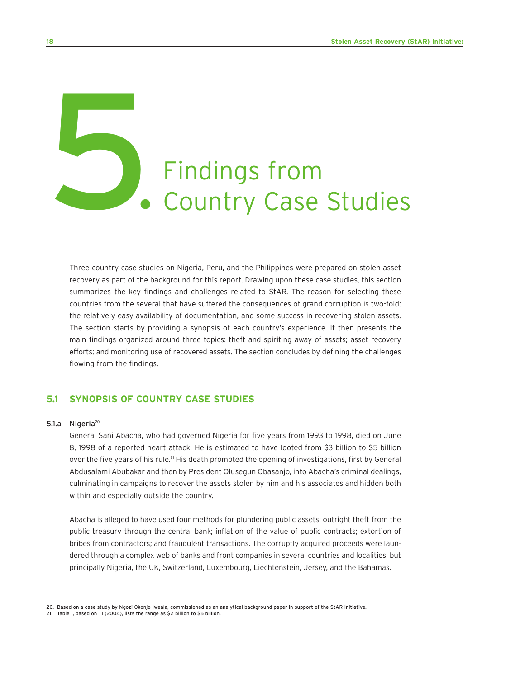# Findings from<br>
5. Country Case Studies

Three country case studies on Nigeria, Peru, and the Philippines were prepared on stolen asset recovery as part of the background for this report. Drawing upon these case studies, this section summarizes the key findings and challenges related to StAR. The reason for selecting these countries from the several that have suffered the consequences of grand corruption is two-fold: the relatively easy availability of documentation, and some success in recovering stolen assets. The section starts by providing a synopsis of each country's experience. It then presents the main findings organized around three topics: theft and spiriting away of assets; asset recovery efforts; and monitoring use of recovered assets. The section concludes by defining the challenges flowing from the findings.

#### **5.1 SYNOPSIS OF COUNTRY CASE STUDIES**

#### 5.1.a Nigeria $^{20}$

General Sani Abacha, who had governed Nigeria for five years from 1993 to 1998, died on June 8, 1998 of a reported heart attack. He is estimated to have looted from \$3 billion to \$5 billion over the five years of his rule.<sup>21</sup> His death prompted the opening of investigations, first by General Abdusalami Abubakar and then by President Olusegun Obasanjo, into Abacha's criminal dealings, culminating in campaigns to recover the assets stolen by him and his associates and hidden both within and especially outside the country.

Abacha is alleged to have used four methods for plundering public assets: outright theft from the public treasury through the central bank; inflation of the value of public contracts; extortion of bribes from contractors; and fraudulent transactions. The corruptly acquired proceeds were laundered through a complex web of banks and front companies in several countries and localities, but principally Nigeria, the UK, Switzerland, Luxembourg, Liechtenstein, Jersey, and the Bahamas.

<sup>20.</sup> Based on a case study by Ngozi Okonjo-Iweala, commissioned as an analytical background paper in support of the StAR Initiative.

<sup>21.</sup> Table 1, based on TI (2004), lists the range as \$2 billion to \$5 billion.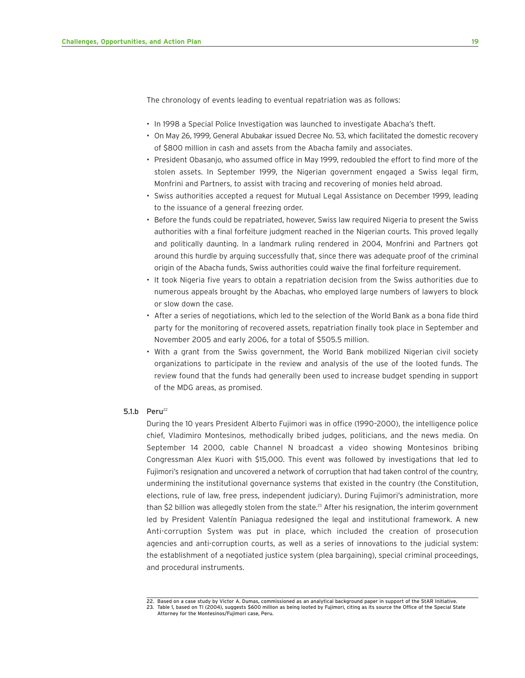The chronology of events leading to eventual repatriation was as follows:

- In 1998 a Special Police Investigation was launched to investigate Abacha's theft.
- On May 26, 1999, General Abubakar issued Decree No. 53, which facilitated the domestic recovery of \$800 million in cash and assets from the Abacha family and associates.
- President Obasanjo, who assumed office in May 1999, redoubled the effort to find more of the stolen assets. In September 1999, the Nigerian government engaged a Swiss legal firm, Monfrini and Partners, to assist with tracing and recovering of monies held abroad.
- Swiss authorities accepted a request for Mutual Legal Assistance on December 1999, leading to the issuance of a general freezing order.
- Before the funds could be repatriated, however, Swiss law required Nigeria to present the Swiss authorities with a final forfeiture judgment reached in the Nigerian courts. This proved legally and politically daunting. In a landmark ruling rendered in 2004, Monfrini and Partners got around this hurdle by arguing successfully that, since there was adequate proof of the criminal origin of the Abacha funds, Swiss authorities could waive the final forfeiture requirement.
- It took Nigeria five years to obtain a repatriation decision from the Swiss authorities due to numerous appeals brought by the Abachas, who employed large numbers of lawyers to block or slow down the case.
- After a series of negotiations, which led to the selection of the World Bank as a bona fide third party for the monitoring of recovered assets, repatriation finally took place in September and November 2005 and early 2006, for a total of \$505.5 million.
- With a grant from the Swiss government, the World Bank mobilized Nigerian civil society organizations to participate in the review and analysis of the use of the looted funds. The review found that the funds had generally been used to increase budget spending in support of the MDG areas, as promised.

#### 5.1.b Peru $^{22}$

During the 10 years President Alberto Fujimori was in office (1990–2000), the intelligence police chief, Vladimiro Montesinos, methodically bribed judges, politicians, and the news media. On September 14 2000, cable Channel N broadcast a video showing Montesinos bribing Congressman Alex Kuori with \$15,000. This event was followed by investigations that led to Fujimori's resignation and uncovered a network of corruption that had taken control of the country, undermining the institutional governance systems that existed in the country (the Constitution, elections, rule of law, free press, independent judiciary). During Fujimori's administration, more than \$2 billion was allegedly stolen from the state.<sup>23</sup> After his resignation, the interim government led by President Valentín Paniagua redesigned the legal and institutional framework. A new Anti-corruption System was put in place, which included the creation of prosecution agencies and anti-corruption courts, as well as a series of innovations to the judicial system: the establishment of a negotiated justice system (plea bargaining), special criminal proceedings, and procedural instruments.

23. Table 1, based on TI (2004), suggests \$600 million as being looted by Fujimori, citing as its source the Office of the Special State Attorney for the Montesinos/Fujimori case, Peru.

<sup>22.</sup> Based on a case study by Victor A. Dumas, commissioned as an analytical background paper in support of the StAR Initiative.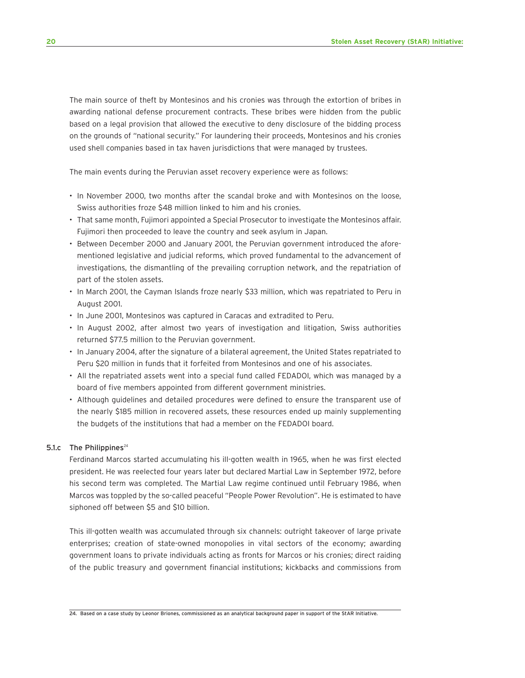The main source of theft by Montesinos and his cronies was through the extortion of bribes in awarding national defense procurement contracts. These bribes were hidden from the public based on a legal provision that allowed the executive to deny disclosure of the bidding process on the grounds of "national security." For laundering their proceeds, Montesinos and his cronies used shell companies based in tax haven jurisdictions that were managed by trustees.

The main events during the Peruvian asset recovery experience were as follows:

- In November 2000, two months after the scandal broke and with Montesinos on the loose, Swiss authorities froze \$48 million linked to him and his cronies.
- That same month, Fujimori appointed a Special Prosecutor to investigate the Montesinos affair. Fujimori then proceeded to leave the country and seek asylum in Japan.
- Between December 2000 and January 2001, the Peruvian government introduced the aforementioned legislative and judicial reforms, which proved fundamental to the advancement of investigations, the dismantling of the prevailing corruption network, and the repatriation of part of the stolen assets.
- In March 2001, the Cayman Islands froze nearly \$33 million, which was repatriated to Peru in August 2001.
- In June 2001, Montesinos was captured in Caracas and extradited to Peru.
- In August 2002, after almost two years of investigation and litigation, Swiss authorities returned \$77.5 million to the Peruvian government.
- In January 2004, after the signature of a bilateral agreement, the United States repatriated to Peru \$20 million in funds that it forfeited from Montesinos and one of his associates.
- All the repatriated assets went into a special fund called FEDADOI, which was managed by a board of five members appointed from different government ministries.
- Although guidelines and detailed procedures were defined to ensure the transparent use of the nearly \$185 million in recovered assets, these resources ended up mainly supplementing the budgets of the institutions that had a member on the FEDADOI board.

#### 5.1. $c$  The Philippines<sup>24</sup>

Ferdinand Marcos started accumulating his ill-gotten wealth in 1965, when he was first elected president. He was reelected four years later but declared Martial Law in September 1972, before his second term was completed. The Martial Law regime continued until February 1986, when Marcos was toppled by the so-called peaceful "People Power Revolution". He is estimated to have siphoned off between \$5 and \$10 billion.

This ill-gotten wealth was accumulated through six channels: outright takeover of large private enterprises; creation of state-owned monopolies in vital sectors of the economy; awarding government loans to private individuals acting as fronts for Marcos or his cronies; direct raiding of the public treasury and government financial institutions; kickbacks and commissions from

24. Based on a case study by Leonor Briones, commissioned as an analytical background paper in support of the StAR Initiative.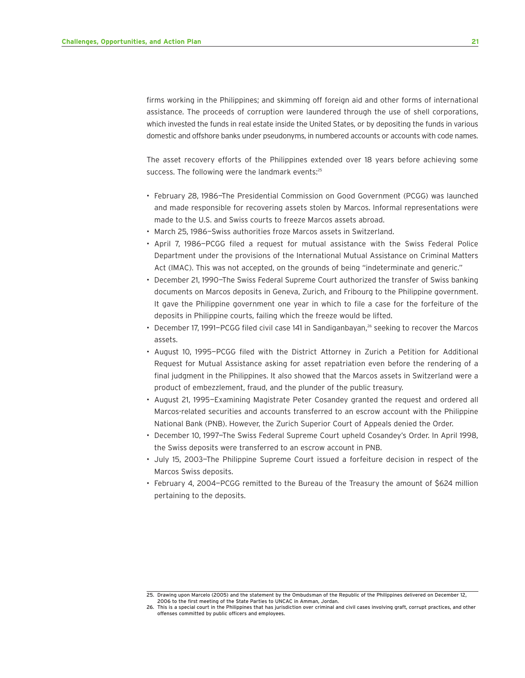firms working in the Philippines; and skimming off foreign aid and other forms of international assistance. The proceeds of corruption were laundered through the use of shell corporations, which invested the funds in real estate inside the United States, or by depositing the funds in various domestic and offshore banks under pseudonyms, in numbered accounts or accounts with code names.

The asset recovery efforts of the Philippines extended over 18 years before achieving some success. The following were the landmark events:<sup>25</sup>

- February 28, 1986—The Presidential Commission on Good Government (PCGG) was launched and made responsible for recovering assets stolen by Marcos. Informal representations were made to the U.S. and Swiss courts to freeze Marcos assets abroad.
- March 25, 1986—Swiss authorities froze Marcos assets in Switzerland.
- April 7, 1986—PCGG filed a request for mutual assistance with the Swiss Federal Police Department under the provisions of the International Mutual Assistance on Criminal Matters Act (IMAC). This was not accepted, on the grounds of being "indeterminate and generic."
- December 21, 1990—The Swiss Federal Supreme Court authorized the transfer of Swiss banking documents on Marcos deposits in Geneva, Zurich, and Fribourg to the Philippine government. It gave the Philippine government one year in which to file a case for the forfeiture of the deposits in Philippine courts, failing which the freeze would be lifted.
- December 17, 1991-PCGG filed civil case 141 in Sandiganbayan,<sup>26</sup> seeking to recover the Marcos assets.
- August 10, 1995—PCGG filed with the District Attorney in Zurich a Petition for Additional Request for Mutual Assistance asking for asset repatriation even before the rendering of a final judgment in the Philippines. It also showed that the Marcos assets in Switzerland were a product of embezzlement, fraud, and the plunder of the public treasury.
- August 21, 1995—Examining Magistrate Peter Cosandey granted the request and ordered all Marcos-related securities and accounts transferred to an escrow account with the Philippine National Bank (PNB). However, the Zurich Superior Court of Appeals denied the Order.
- December 10, 1997—The Swiss Federal Supreme Court upheld Cosandey's Order. In April 1998, the Swiss deposits were transferred to an escrow account in PNB.
- July 15, 2003—The Philippine Supreme Court issued a forfeiture decision in respect of the Marcos Swiss deposits.
- February 4, 2004—PCGG remitted to the Bureau of the Treasury the amount of \$624 million pertaining to the deposits.

<sup>25.</sup> Drawing upon Marcelo (2005) and the statement by the Ombudsman of the Republic of the Philippines delivered on December 12, 2006 to the first meeting of the State Parties to UNCAC in Amman, Jordan.

<sup>26.</sup> This is a special court in the Philippines that has jurisdiction over criminal and civil cases involving graft, corrupt practices, and other offenses committed by public officers and employees.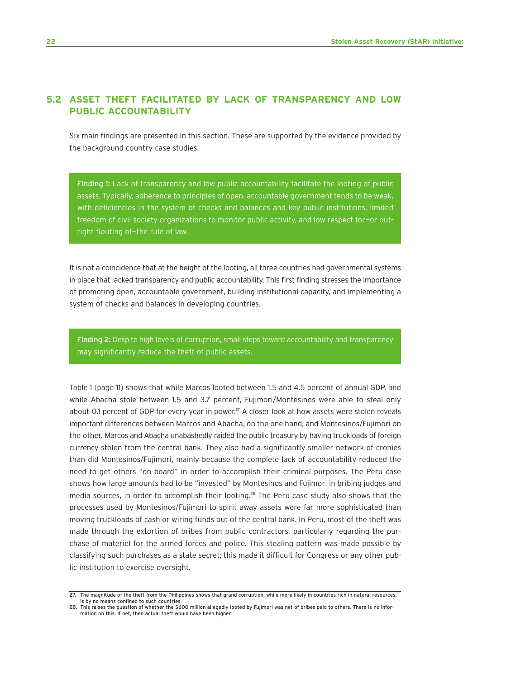#### **5.2 ASSET THEFT FACILITATED BY LACK OF TRANSPARENCY AND LOW PUBLIC ACCOUNTABILITY**

Six main findings are presented in this section. These are supported by the evidence provided by the background country case studies.

Finding 1: Lack of transparency and low public accountability facilitate the looting of public assets. Typically, adherence to principles of open, accountable government tends to be weak, with deficiencies in the system of checks and balances and key public institutions, limited freedom of civil society organizations to monitor public activity, and low respect for—or outright flouting of—the rule of law.

It is not a coincidence that at the height of the looting, all three countries had governmental systems in place that lacked transparency and public accountability. This first finding stresses the importance of promoting open, accountable government, building institutional capacity, and implementing a system of checks and balances in developing countries.

Finding 2: Despite high levels of corruption, small steps toward accountability and transparency may significantly reduce the theft of public assets.

Table 1 (page 11) shows that while Marcos looted between 1.5 and 4.5 percent of annual GDP, and while Abacha stole between 1.5 and 3.7 percent, Fujimori/Montesinos were able to steal only about 0.1 percent of GDP for every year in power.<sup>27</sup> A closer look at how assets were stolen reveals important differences between Marcos and Abacha, on the one hand, and Montesinos/Fujimori on the other. Marcos and Abacha unabashedly raided the public treasury by having truckloads of foreign currency stolen from the central bank. They also had a significantly smaller network of cronies than did Montesinos/Fujimori, mainly because the complete lack of accountability reduced the need to get others "on board" in order to accomplish their criminal purposes. The Peru case shows how large amounts had to be "invested" by Montesinos and Fujimori in bribing judges and media sources, in order to accomplish their looting.<sup>28</sup> The Peru case study also shows that the processes used by Montesinos/Fujimori to spirit away assets were far more sophisticated than moving truckloads of cash or wiring funds out of the central bank. In Peru, most of the theft was made through the extortion of bribes from public contractors, particularly regarding the purchase of materiel for the armed forces and police. This stealing pattern was made possible by classifying such purchases as a state secret; this made it difficult for Congress or any other public institution to exercise oversight.

<sup>27.</sup> The magnitude of the theft from the Philippines shows that grand corruption, while more likely in countries rich in natural resources, is by no means confined to such countries.

<sup>28.</sup> This raises the question of whether the \$600 million allegedly looted by Fujimori was net of bribes paid to others. There is no information on this. If net, then actual theft would have been higher.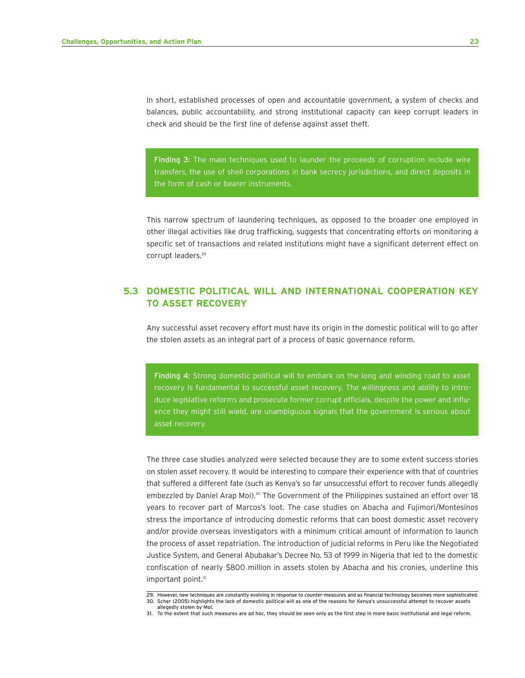In short, established processes of open and accountable government, a system of checks and balances, public accountability, and strong institutional capacity can keep corrupt leaders in check and should be the first line of defense against asset theft.

Finding 3: The main techniques used to launder the proceeds of corruption include wire transfers, the use of shell corporations in bank secrecy jurisdictions, and direct deposits in the form of cash or bearer instruments.

This narrow spectrum of laundering techniques, as opposed to the broader one employed in other illegal activities like drug trafficking, suggests that concentrating efforts on monitoring a specific set of transactions and related institutions might have a significant deterrent effect on corrupt leaders.<sup>29</sup>

#### **5.3 DOMESTIC POLITICAL WILL AND INTERNATIONAL COOPERATION KEY TO ASSET RECOVERY**

Any successful asset recovery effort must have its origin in the domestic political will to go after the stolen assets as an integral part of a process of basic governance reform.

Finding 4: Strong domestic political will to embark on the long and winding road to asset recovery is fundamental to successful asset recovery. The willingness and ability to introduce legislative reforms and prosecute former corrupt officials, despite the power and influence they might still wield, are unambiguous signals that the government is serious about asset recovery.

The three case studies analyzed were selected because they are to some extent success stories on stolen asset recovery. It would be interesting to compare their experience with that of countries that suffered a different fate (such as Kenya's so far unsuccessful effort to recover funds allegedly embezzled by Daniel Arap Moi).<sup>30</sup> The Government of the Philippines sustained an effort over 18 years to recover part of Marcos's loot. The case studies on Abacha and Fujimori/Montesinos stress the importance of introducing domestic reforms that can boost domestic asset recovery and/or provide overseas investigators with a minimum critical amount of information to launch the process of asset repatriation. The introduction of judicial reforms in Peru like the Negotiated Justice System, and General Abubakar's Decree No. 53 of 1999 in Nigeria that led to the domestic confiscation of nearly \$800 million in assets stolen by Abacha and his cronies, underline this important point.<sup>31</sup>

<sup>29.</sup> However, new techniques are constantly evolving in response to counter-measures and as financial technology becomes more sophisticated. 30. Scher (2005) highlights the lack of domestic political will as one of the reasons for Kenya's unsuccessful attempt to recover assets

allegedly stolen by Moi. 31. To the extent that such measures are ad hoc, they should be seen only as the first step in more basic institutional and legal reform.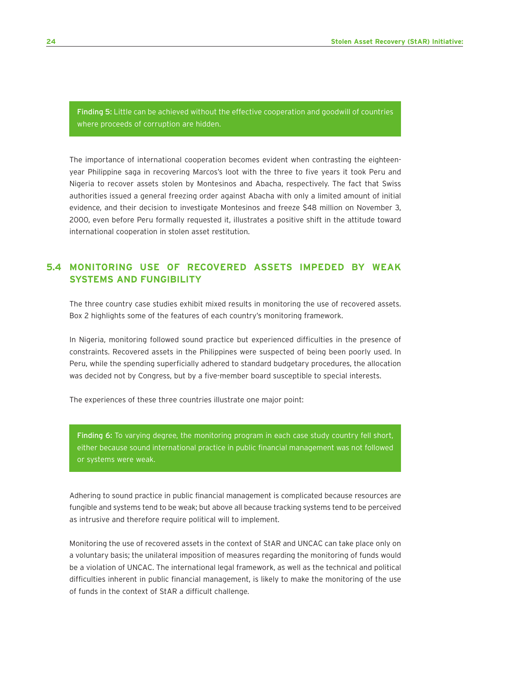Finding 5: Little can be achieved without the effective cooperation and goodwill of countries where proceeds of corruption are hidden.

The importance of international cooperation becomes evident when contrasting the eighteenyear Philippine saga in recovering Marcos's loot with the three to five years it took Peru and Nigeria to recover assets stolen by Montesinos and Abacha, respectively. The fact that Swiss authorities issued a general freezing order against Abacha with only a limited amount of initial evidence, and their decision to investigate Montesinos and freeze \$48 million on November 3, 2000, even before Peru formally requested it, illustrates a positive shift in the attitude toward international cooperation in stolen asset restitution.

#### **5.4 MONITORING USE OF RECOVERED ASSETS IMPEDED BY WEAK SYSTEMS AND FUNGIBILITY**

The three country case studies exhibit mixed results in monitoring the use of recovered assets. Box 2 highlights some of the features of each country's monitoring framework.

In Nigeria, monitoring followed sound practice but experienced difficulties in the presence of constraints. Recovered assets in the Philippines were suspected of being been poorly used. In Peru, while the spending superficially adhered to standard budgetary procedures, the allocation was decided not by Congress, but by a five-member board susceptible to special interests.

The experiences of these three countries illustrate one major point:

Finding 6: To varying degree, the monitoring program in each case study country fell short, either because sound international practice in public financial management was not followed or systems were weak.

Adhering to sound practice in public financial management is complicated because resources are fungible and systems tend to be weak; but above all because tracking systems tend to be perceived as intrusive and therefore require political will to implement.

Monitoring the use of recovered assets in the context of StAR and UNCAC can take place only on a voluntary basis; the unilateral imposition of measures regarding the monitoring of funds would be a violation of UNCAC. The international legal framework, as well as the technical and political difficulties inherent in public financial management, is likely to make the monitoring of the use of funds in the context of StAR a difficult challenge.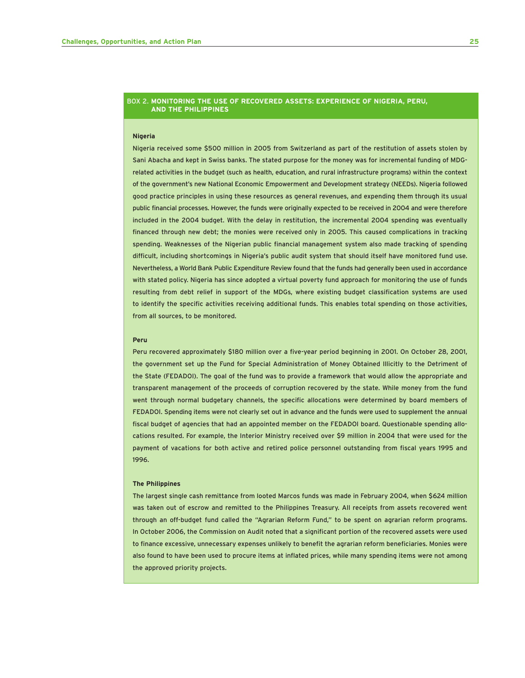#### BOX 2. **MONITORING THE USE OF RECOVERED ASSETS: EXPERIENCE OF NIGERIA, PERU, AND THE PHILIPPINES**

#### **Nigeria**

Nigeria received some \$500 million in 2005 from Switzerland as part of the restitution of assets stolen by Sani Abacha and kept in Swiss banks. The stated purpose for the money was for incremental funding of MDGrelated activities in the budget (such as health, education, and rural infrastructure programs) within the context of the government's new National Economic Empowerment and Development strategy (NEEDs). Nigeria followed good practice principles in using these resources as general revenues, and expending them through its usual public financial processes. However, the funds were originally expected to be received in 2004 and were therefore included in the 2004 budget. With the delay in restitution, the incremental 2004 spending was eventually financed through new debt; the monies were received only in 2005. This caused complications in tracking spending. Weaknesses of the Nigerian public financial management system also made tracking of spending difficult, including shortcomings in Nigeria's public audit system that should itself have monitored fund use. Nevertheless, a World Bank Public Expenditure Review found that the funds had generally been used in accordance with stated policy. Nigeria has since adopted a virtual poverty fund approach for monitoring the use of funds resulting from debt relief in support of the MDGs, where existing budget classification systems are used to identify the specific activities receiving additional funds. This enables total spending on those activities, from all sources, to be monitored.

#### **Peru**

Peru recovered approximately \$180 million over a five-year period beginning in 2001. On October 28, 2001, the government set up the Fund for Special Administration of Money Obtained Illicitly to the Detriment of the State (FEDADOI). The goal of the fund was to provide a framework that would allow the appropriate and transparent management of the proceeds of corruption recovered by the state. While money from the fund went through normal budgetary channels, the specific allocations were determined by board members of FEDADOI. Spending items were not clearly set out in advance and the funds were used to supplement the annual fiscal budget of agencies that had an appointed member on the FEDADOI board. Questionable spending allocations resulted. For example, the Interior Ministry received over \$9 million in 2004 that were used for the payment of vacations for both active and retired police personnel outstanding from fiscal years 1995 and 1996.

#### **The Philippines**

The largest single cash remittance from looted Marcos funds was made in February 2004, when \$624 million was taken out of escrow and remitted to the Philippines Treasury. All receipts from assets recovered went through an off-budget fund called the "Agrarian Reform Fund," to be spent on agrarian reform programs. In October 2006, the Commission on Audit noted that a significant portion of the recovered assets were used to finance excessive, unnecessary expenses unlikely to benefit the agrarian reform beneficiaries. Monies were also found to have been used to procure items at inflated prices, while many spending items were not among the approved priority projects.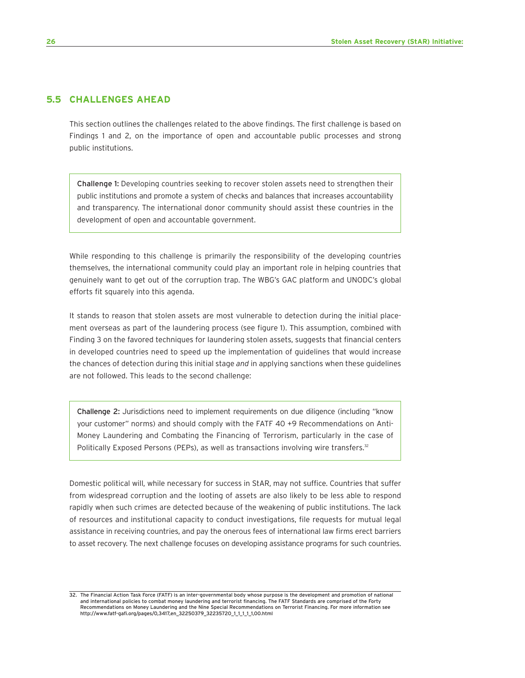#### **5.5 CHALLENGES AHEAD**

This section outlines the challenges related to the above findings. The first challenge is based on Findings 1 and 2, on the importance of open and accountable public processes and strong public institutions.

Challenge 1: Developing countries seeking to recover stolen assets need to strengthen their public institutions and promote a system of checks and balances that increases accountability and transparency. The international donor community should assist these countries in the development of open and accountable government.

While responding to this challenge is primarily the responsibility of the developing countries themselves, the international community could play an important role in helping countries that genuinely want to get out of the corruption trap. The WBG's GAC platform and UNODC's global efforts fit squarely into this agenda.

It stands to reason that stolen assets are most vulnerable to detection during the initial placement overseas as part of the laundering process (see figure 1). This assumption, combined with Finding 3 on the favored techniques for laundering stolen assets, suggests that financial centers in developed countries need to speed up the implementation of guidelines that would increase the chances of detection during this initial stage *and* in applying sanctions when these guidelines are not followed. This leads to the second challenge:

Challenge 2: Jurisdictions need to implement requirements on due diligence (including "know your customer" norms) and should comply with the FATF 40 +9 Recommendations on Anti-Money Laundering and Combating the Financing of Terrorism, particularly in the case of Politically Exposed Persons (PEPs), as well as transactions involving wire transfers.<sup>32</sup>

Domestic political will, while necessary for success in StAR, may not suffice. Countries that suffer from widespread corruption and the looting of assets are also likely to be less able to respond rapidly when such crimes are detected because of the weakening of public institutions. The lack of resources and institutional capacity to conduct investigations, file requests for mutual legal assistance in receiving countries, and pay the onerous fees of international law firms erect barriers to asset recovery. The next challenge focuses on developing assistance programs for such countries.

<sup>32.</sup> The Financial Action Task Force (FATF) is an inter-governmental body whose purpose is the development and promotion of national and international policies to combat money laundering and terrorist financing. The FATF Standards are comprised of the Forty Recommendations on Money Laundering and the Nine Special Recommendations on Terrorist Financing. For more information see http://www.fatf-gafi.org/pages/0,3417,en\_32250379\_32235720\_1\_1\_1\_1\_1,00.html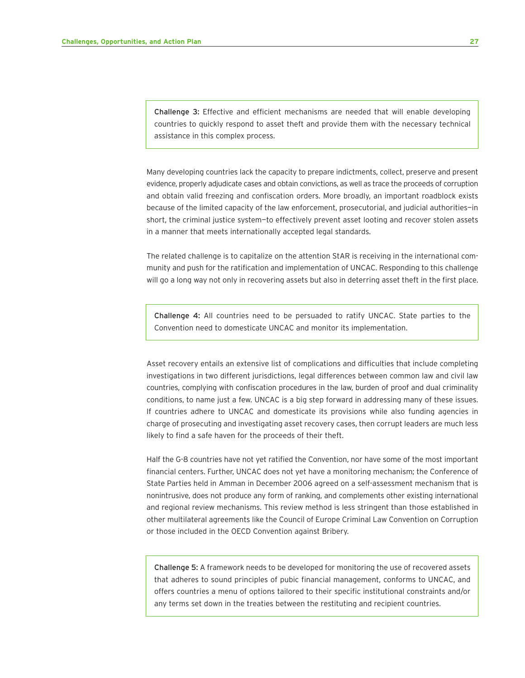Challenge 3: Effective and efficient mechanisms are needed that will enable developing countries to quickly respond to asset theft and provide them with the necessary technical assistance in this complex process.

Many developing countries lack the capacity to prepare indictments, collect, preserve and present evidence, properly adjudicate cases and obtain convictions, as well as trace the proceeds of corruption and obtain valid freezing and confiscation orders. More broadly, an important roadblock exists because of the limited capacity of the law enforcement, prosecutorial, and judicial authorities—in short, the criminal justice system—to effectively prevent asset looting and recover stolen assets in a manner that meets internationally accepted legal standards.

The related challenge is to capitalize on the attention StAR is receiving in the international community and push for the ratification and implementation of UNCAC. Responding to this challenge will go a long way not only in recovering assets but also in deterring asset theft in the first place.

Challenge 4: All countries need to be persuaded to ratify UNCAC. State parties to the Convention need to domesticate UNCAC and monitor its implementation.

Asset recovery entails an extensive list of complications and difficulties that include completing investigations in two different jurisdictions, legal differences between common law and civil law countries, complying with confiscation procedures in the law, burden of proof and dual criminality conditions, to name just a few. UNCAC is a big step forward in addressing many of these issues. If countries adhere to UNCAC and domesticate its provisions while also funding agencies in charge of prosecuting and investigating asset recovery cases, then corrupt leaders are much less likely to find a safe haven for the proceeds of their theft.

Half the G-8 countries have not yet ratified the Convention, nor have some of the most important financial centers. Further, UNCAC does not yet have a monitoring mechanism; the Conference of State Parties held in Amman in December 2006 agreed on a self-assessment mechanism that is nonintrusive, does not produce any form of ranking, and complements other existing international and regional review mechanisms. This review method is less stringent than those established in other multilateral agreements like the Council of Europe Criminal Law Convention on Corruption or those included in the OECD Convention against Bribery.

Challenge 5: A framework needs to be developed for monitoring the use of recovered assets that adheres to sound principles of pubic financial management, conforms to UNCAC, and offers countries a menu of options tailored to their specific institutional constraints and/or any terms set down in the treaties between the restituting and recipient countries.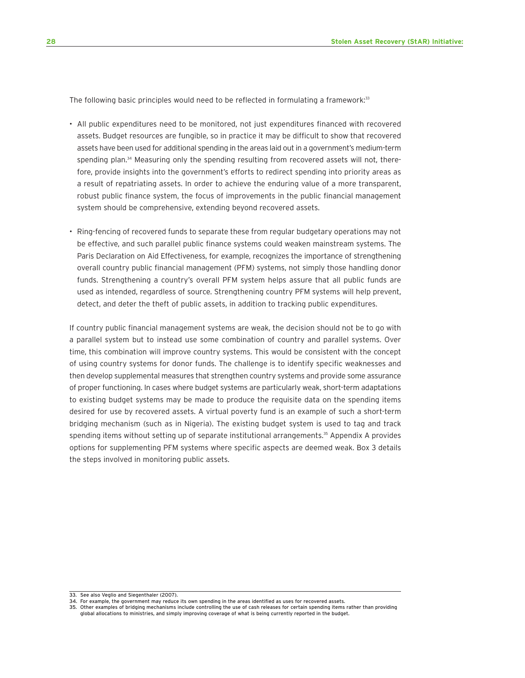The following basic principles would need to be reflected in formulating a framework:<sup>33</sup>

- All public expenditures need to be monitored, not just expenditures financed with recovered assets. Budget resources are fungible, so in practice it may be difficult to show that recovered assets have been used for additional spending in the areas laid out in a government's medium-term spending plan.<sup>34</sup> Measuring only the spending resulting from recovered assets will not, therefore, provide insights into the government's efforts to redirect spending into priority areas as a result of repatriating assets. In order to achieve the enduring value of a more transparent, robust public finance system, the focus of improvements in the public financial management system should be comprehensive, extending beyond recovered assets.
- Ring-fencing of recovered funds to separate these from regular budgetary operations may not be effective, and such parallel public finance systems could weaken mainstream systems. The Paris Declaration on Aid Effectiveness, for example, recognizes the importance of strengthening overall country public financial management (PFM) systems, not simply those handling donor funds. Strengthening a country's overall PFM system helps assure that all public funds are used as intended, regardless of source. Strengthening country PFM systems will help prevent, detect, and deter the theft of public assets, in addition to tracking public expenditures.

If country public financial management systems are weak, the decision should not be to go with a parallel system but to instead use some combination of country and parallel systems. Over time, this combination will improve country systems. This would be consistent with the concept of using country systems for donor funds. The challenge is to identify specific weaknesses and then develop supplemental measures that strengthen country systems and provide some assurance of proper functioning. In cases where budget systems are particularly weak, short-term adaptations to existing budget systems may be made to produce the requisite data on the spending items desired for use by recovered assets. A virtual poverty fund is an example of such a short-term bridging mechanism (such as in Nigeria). The existing budget system is used to tag and track spending items without setting up of separate institutional arrangements.<sup>35</sup> Appendix A provides options for supplementing PFM systems where specific aspects are deemed weak. Box 3 details the steps involved in monitoring public assets.

<sup>33.</sup> See also Veglio and Siegenthaler (2007).

<sup>34.</sup> For example, the government may reduce its own spending in the areas identified as uses for recovered assets.

<sup>35.</sup> Other examples of bridging mechanisms include controlling the use of cash releases for certain spending items rather than providing global allocations to ministries, and simply improving coverage of what is being currently reported in the budget.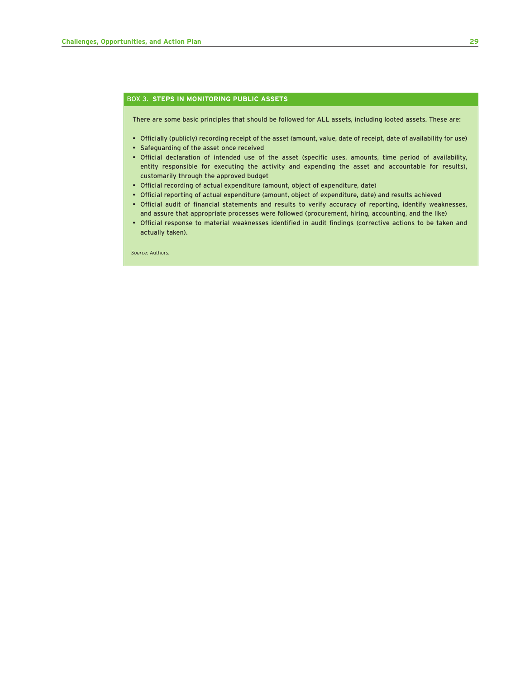#### BOX 3. **STEPS IN MONITORING PUBLIC ASSETS**

There are some basic principles that should be followed for ALL assets, including looted assets. These are:

- Officially (publicly) recording receipt of the asset (amount, value, date of receipt, date of availability for use)
- Safeguarding of the asset once received
- Official declaration of intended use of the asset (specific uses, amounts, time period of availability, entity responsible for executing the activity and expending the asset and accountable for results), customarily through the approved budget
- Official recording of actual expenditure (amount, object of expenditure, date)
- Official reporting of actual expenditure (amount, object of expenditure, date) and results achieved
- Official audit of financial statements and results to verify accuracy of reporting, identify weaknesses, and assure that appropriate processes were followed (procurement, hiring, accounting, and the like)
- Official response to material weaknesses identified in audit findings (corrective actions to be taken and actually taken).

*Source:* Authors.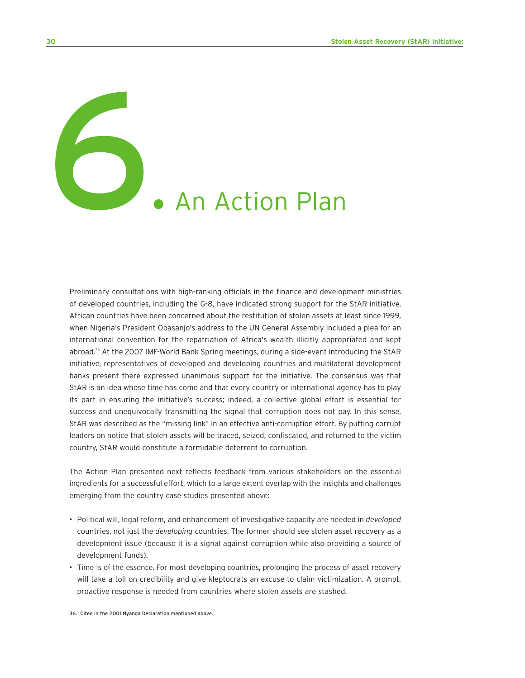6. An Action Plan

Preliminary consultations with high-ranking officials in the finance and development ministries of developed countries, including the G-8, have indicated strong support for the StAR initiative. African countries have been concerned about the restitution of stolen assets at least since 1999, when Nigeria's President Obasanjo's address to the UN General Assembly included a plea for an international convention for the repatriation of Africa's wealth illicitly appropriated and kept abroad.<sup>36</sup> At the 2007 IMF-World Bank Spring meetings, during a side-event introducing the StAR initiative, representatives of developed and developing countries and multilateral development banks present there expressed unanimous support for the initiative. The consensus was that StAR is an idea whose time has come and that every country or international agency has to play its part in ensuring the initiative's success; indeed, a collective global effort is essential for success and unequivocally transmitting the signal that corruption does not pay. In this sense, StAR was described as the "missing link" in an effective anti-corruption effort. By putting corrupt leaders on notice that stolen assets will be traced, seized, confiscated, and returned to the victim country, StAR would constitute a formidable deterrent to corruption.

The Action Plan presented next reflects feedback from various stakeholders on the essential ingredients for a successful effort, which to a large extent overlap with the insights and challenges emerging from the country case studies presented above:

- Political will, legal reform, and enhancement of investigative capacity are needed in *developed* countries, not just the *developing* countries. The former should see stolen asset recovery as a development issue (because it is a signal against corruption while also providing a source of development funds).
- Time is of the essence. For most developing countries, prolonging the process of asset recovery will take a toll on credibility and give kleptocrats an excuse to claim victimization. A prompt, proactive response is needed from countries where stolen assets are stashed.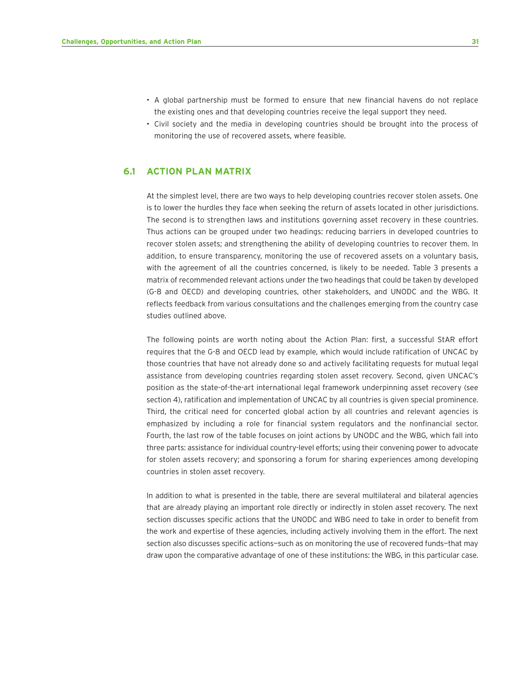- A global partnership must be formed to ensure that new financial havens do not replace the existing ones and that developing countries receive the legal support they need.
- Civil society and the media in developing countries should be brought into the process of monitoring the use of recovered assets, where feasible.

#### **6.1 ACTION PLAN MATRIX**

At the simplest level, there are two ways to help developing countries recover stolen assets. One is to lower the hurdles they face when seeking the return of assets located in other jurisdictions. The second is to strengthen laws and institutions governing asset recovery in these countries. Thus actions can be grouped under two headings: reducing barriers in developed countries to recover stolen assets; and strengthening the ability of developing countries to recover them. In addition, to ensure transparency, monitoring the use of recovered assets on a voluntary basis, with the agreement of all the countries concerned, is likely to be needed. Table 3 presents a matrix of recommended relevant actions under the two headings that could be taken by developed (G-8 and OECD) and developing countries, other stakeholders, and UNODC and the WBG. It reflects feedback from various consultations and the challenges emerging from the country case studies outlined above.

The following points are worth noting about the Action Plan: first, a successful StAR effort requires that the G-8 and OECD lead by example, which would include ratification of UNCAC by those countries that have not already done so and actively facilitating requests for mutual legal assistance from developing countries regarding stolen asset recovery. Second, given UNCAC's position as the state-of-the-art international legal framework underpinning asset recovery (see section 4), ratification and implementation of UNCAC by all countries is given special prominence. Third, the critical need for concerted global action by all countries and relevant agencies is emphasized by including a role for financial system regulators and the nonfinancial sector. Fourth, the last row of the table focuses on joint actions by UNODC and the WBG, which fall into three parts: assistance for individual country-level efforts; using their convening power to advocate for stolen assets recovery; and sponsoring a forum for sharing experiences among developing countries in stolen asset recovery.

In addition to what is presented in the table, there are several multilateral and bilateral agencies that are already playing an important role directly or indirectly in stolen asset recovery. The next section discusses specific actions that the UNODC and WBG need to take in order to benefit from the work and expertise of these agencies, including actively involving them in the effort. The next section also discusses specific actions-such as on monitoring the use of recovered funds-that may draw upon the comparative advantage of one of these institutions: the WBG, in this particular case.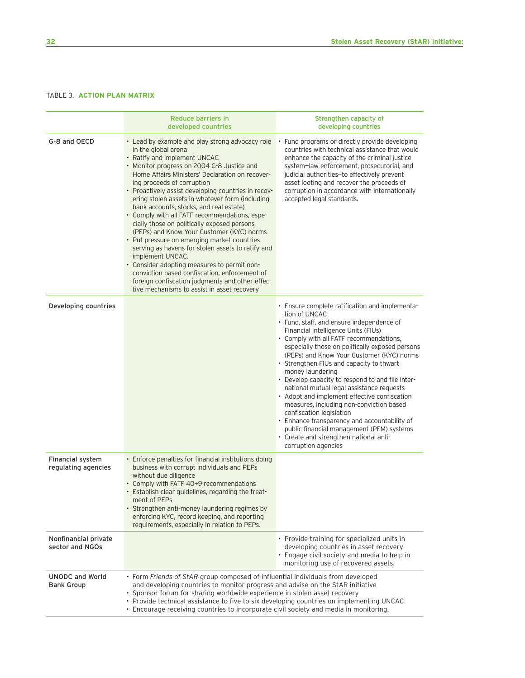#### TABLE 3. **ACTION PLAN MATRIX**

|                                                | Reduce barriers in                                                                                                                                                                                                                                                                                                                                                                                                                                                                                                                                                                                                                                                                                                                                                                                                                                                |                                                                                                                                                                                                                                                                                                                                                                                                                                                                                                                                                                                                                                                                                                                                                       |  |
|------------------------------------------------|-------------------------------------------------------------------------------------------------------------------------------------------------------------------------------------------------------------------------------------------------------------------------------------------------------------------------------------------------------------------------------------------------------------------------------------------------------------------------------------------------------------------------------------------------------------------------------------------------------------------------------------------------------------------------------------------------------------------------------------------------------------------------------------------------------------------------------------------------------------------|-------------------------------------------------------------------------------------------------------------------------------------------------------------------------------------------------------------------------------------------------------------------------------------------------------------------------------------------------------------------------------------------------------------------------------------------------------------------------------------------------------------------------------------------------------------------------------------------------------------------------------------------------------------------------------------------------------------------------------------------------------|--|
|                                                | developed countries                                                                                                                                                                                                                                                                                                                                                                                                                                                                                                                                                                                                                                                                                                                                                                                                                                               | Strengthen capacity of<br>developing countries                                                                                                                                                                                                                                                                                                                                                                                                                                                                                                                                                                                                                                                                                                        |  |
| G-8 and OECD                                   | • Lead by example and play strong advocacy role<br>in the global arena<br>• Ratify and implement UNCAC<br>• Monitor progress on 2004 G-8 Justice and<br>Home Affairs Ministers' Declaration on recover-<br>ing proceeds of corruption<br>• Proactively assist developing countries in recov-<br>ering stolen assets in whatever form (including<br>bank accounts, stocks, and real estate)<br>• Comply with all FATF recommendations, espe-<br>cially those on politically exposed persons<br>(PEPs) and Know Your Customer (KYC) norms<br>• Put pressure on emerging market countries<br>serving as havens for stolen assets to ratify and<br>implement UNCAC.<br>• Consider adopting measures to permit non-<br>conviction based confiscation, enforcement of<br>foreign confiscation judgments and other effec-<br>tive mechanisms to assist in asset recovery | Fund programs or directly provide developing<br>countries with technical assistance that would<br>enhance the capacity of the criminal justice<br>system-law enforcement, prosecutorial, and<br>judicial authorities-to effectively prevent<br>asset looting and recover the proceeds of<br>corruption in accordance with internationally<br>accepted legal standards.                                                                                                                                                                                                                                                                                                                                                                                |  |
| Developing countries                           |                                                                                                                                                                                                                                                                                                                                                                                                                                                                                                                                                                                                                                                                                                                                                                                                                                                                   | • Ensure complete ratification and implementa-<br>tion of UNCAC<br>• Fund, staff, and ensure independence of<br>Financial Intelligence Units (FIUs)<br>• Comply with all FATF recommendations,<br>especially those on politically exposed persons<br>(PEPs) and Know Your Customer (KYC) norms<br>• Strengthen FIUs and capacity to thwart<br>money laundering<br>• Develop capacity to respond to and file inter-<br>national mutual legal assistance requests<br>• Adopt and implement effective confiscation<br>measures, including non-conviction based<br>confiscation legislation<br>• Enhance transparency and accountability of<br>public financial management (PFM) systems<br>• Create and strengthen national anti-<br>corruption agencies |  |
| <b>Financial system</b><br>regulating agencies | • Enforce penalties for financial institutions doing<br>business with corrupt individuals and PEPs<br>without due diligence<br>• Comply with FATF 40+9 recommendations<br>• Establish clear guidelines, regarding the treat-<br>ment of PEPs<br>• Strengthen anti-money laundering regimes by<br>enforcing KYC, record keeping, and reporting<br>requirements, especially in relation to PEPs.                                                                                                                                                                                                                                                                                                                                                                                                                                                                    |                                                                                                                                                                                                                                                                                                                                                                                                                                                                                                                                                                                                                                                                                                                                                       |  |
| Nonfinancial private<br>sector and NGOs        |                                                                                                                                                                                                                                                                                                                                                                                                                                                                                                                                                                                                                                                                                                                                                                                                                                                                   | • Provide training for specialized units in<br>developing countries in asset recovery<br>• Engage civil society and media to help in<br>monitoring use of recovered assets.                                                                                                                                                                                                                                                                                                                                                                                                                                                                                                                                                                           |  |
| <b>UNODC and World</b><br><b>Bank Group</b>    | • Form Friends of StAR group composed of influential individuals from developed<br>and developing countries to monitor progress and advise on the StAR initiative<br>• Sponsor forum for sharing worldwide experience in stolen asset recovery<br>• Provide technical assistance to five to six developing countries on implementing UNCAC<br>• Encourage receiving countries to incorporate civil society and media in monitoring.                                                                                                                                                                                                                                                                                                                                                                                                                               |                                                                                                                                                                                                                                                                                                                                                                                                                                                                                                                                                                                                                                                                                                                                                       |  |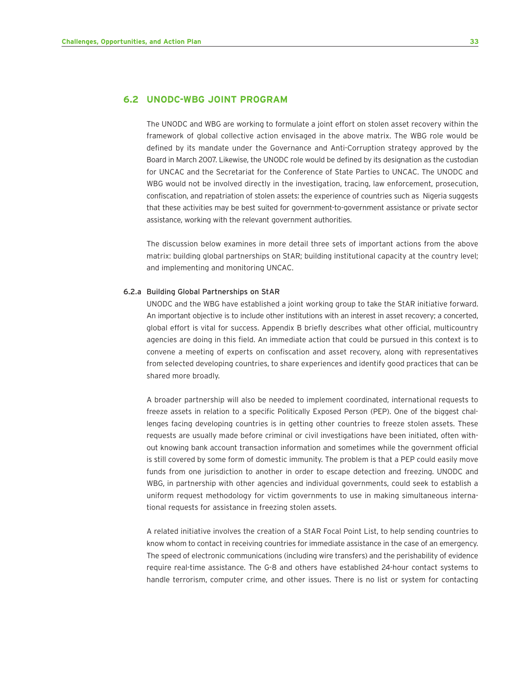#### **6.2 UNODC-WBG JOINT PROGRAM**

The UNODC and WBG are working to formulate a joint effort on stolen asset recovery within the framework of global collective action envisaged in the above matrix. The WBG role would be defined by its mandate under the Governance and Anti-Corruption strategy approved by the Board in March 2007. Likewise, the UNODC role would be defined by its designation as the custodian for UNCAC and the Secretariat for the Conference of State Parties to UNCAC. The UNODC and WBG would not be involved directly in the investigation, tracing, law enforcement, prosecution, confiscation, and repatriation of stolen assets: the experience of countries such as Nigeria suggests that these activities may be best suited for government-to-government assistance or private sector assistance, working with the relevant government authorities.

The discussion below examines in more detail three sets of important actions from the above matrix: building global partnerships on StAR; building institutional capacity at the country level; and implementing and monitoring UNCAC.

#### 6.2.a Building Global Partnerships on StAR

UNODC and the WBG have established a joint working group to take the StAR initiative forward. An important objective is to include other institutions with an interest in asset recovery; a concerted, global effort is vital for success. Appendix B briefly describes what other official, multicountry agencies are doing in this field. An immediate action that could be pursued in this context is to convene a meeting of experts on confiscation and asset recovery, along with representatives from selected developing countries, to share experiences and identify good practices that can be shared more broadly.

A broader partnership will also be needed to implement coordinated, international requests to freeze assets in relation to a specific Politically Exposed Person (PEP). One of the biggest challenges facing developing countries is in getting other countries to freeze stolen assets. These requests are usually made before criminal or civil investigations have been initiated, often without knowing bank account transaction information and sometimes while the government official is still covered by some form of domestic immunity. The problem is that a PEP could easily move funds from one jurisdiction to another in order to escape detection and freezing. UNODC and WBG, in partnership with other agencies and individual governments, could seek to establish a uniform request methodology for victim governments to use in making simultaneous international requests for assistance in freezing stolen assets.

A related initiative involves the creation of a StAR Focal Point List, to help sending countries to know whom to contact in receiving countries for immediate assistance in the case of an emergency. The speed of electronic communications (including wire transfers) and the perishability of evidence require real-time assistance. The G-8 and others have established 24-hour contact systems to handle terrorism, computer crime, and other issues. There is no list or system for contacting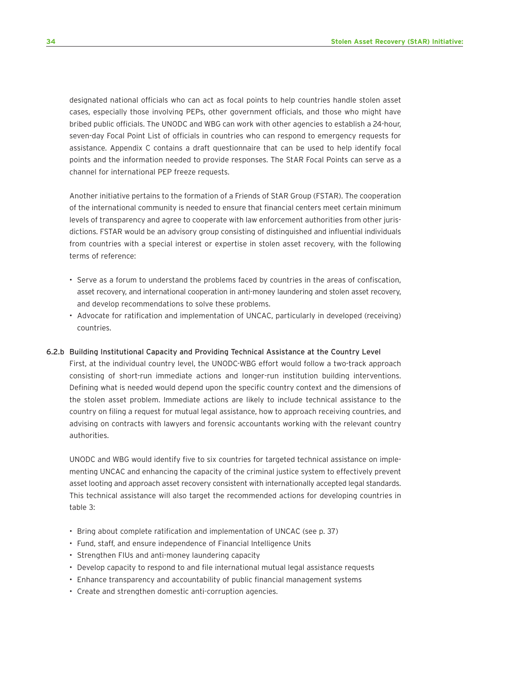designated national officials who can act as focal points to help countries handle stolen asset cases, especially those involving PEPs, other government officials, and those who might have bribed public officials. The UNODC and WBG can work with other agencies to establish a 24-hour, seven-day Focal Point List of officials in countries who can respond to emergency requests for assistance. Appendix C contains a draft questionnaire that can be used to help identify focal points and the information needed to provide responses. The StAR Focal Points can serve as a channel for international PEP freeze requests.

Another initiative pertains to the formation of a Friends of StAR Group (FSTAR). The cooperation of the international community is needed to ensure that financial centers meet certain minimum levels of transparency and agree to cooperate with law enforcement authorities from other jurisdictions. FSTAR would be an advisory group consisting of distinguished and influential individuals from countries with a special interest or expertise in stolen asset recovery, with the following terms of reference:

- Serve as a forum to understand the problems faced by countries in the areas of confiscation, asset recovery, and international cooperation in anti-money laundering and stolen asset recovery, and develop recommendations to solve these problems.
- Advocate for ratification and implementation of UNCAC, particularly in developed (receiving) countries.

#### 6.2.b Building Institutional Capacity and Providing Technical Assistance at the Country Level

First, at the individual country level, the UNODC-WBG effort would follow a two-track approach consisting of short-run immediate actions and longer-run institution building interventions. Defining what is needed would depend upon the specific country context and the dimensions of the stolen asset problem. Immediate actions are likely to include technical assistance to the country on filing a request for mutual legal assistance, how to approach receiving countries, and advising on contracts with lawyers and forensic accountants working with the relevant country authorities.

UNODC and WBG would identify five to six countries for targeted technical assistance on implementing UNCAC and enhancing the capacity of the criminal justice system to effectively prevent asset looting and approach asset recovery consistent with internationally accepted legal standards. This technical assistance will also target the recommended actions for developing countries in table 3:

- Bring about complete ratification and implementation of UNCAC (see p. 37)
- Fund, staff, and ensure independence of Financial Intelligence Units
- Strengthen FIUs and anti-money laundering capacity
- Develop capacity to respond to and file international mutual legal assistance requests
- Enhance transparency and accountability of public financial management systems
- Create and strengthen domestic anti-corruption agencies.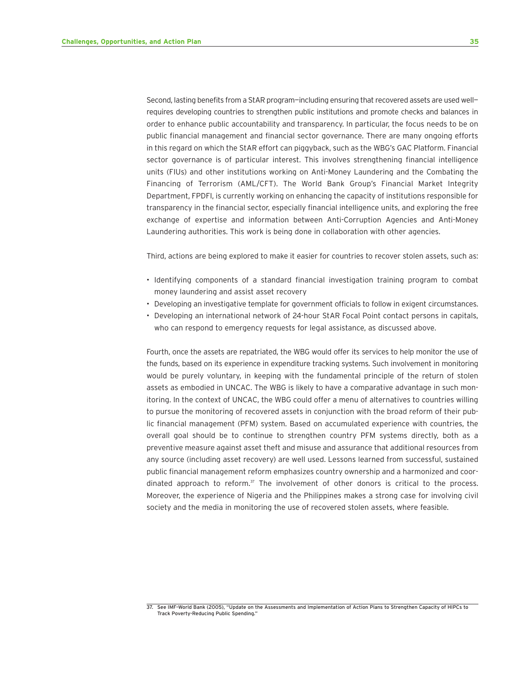Second, lasting benefits from a StAR program-including ensuring that recovered assets are used wellrequires developing countries to strengthen public institutions and promote checks and balances in order to enhance public accountability and transparency. In particular, the focus needs to be on public financial management and financial sector governance. There are many ongoing efforts in this regard on which the StAR effort can piggyback, such as the WBG's GAC Platform. Financial sector governance is of particular interest. This involves strengthening financial intelligence units (FIUs) and other institutions working on Anti-Money Laundering and the Combating the Financing of Terrorism (AML/CFT). The World Bank Group's Financial Market Integrity Department, FPDFI, is currently working on enhancing the capacity of institutions responsible for transparency in the financial sector, especially financial intelligence units, and exploring the free exchange of expertise and information between Anti-Corruption Agencies and Anti-Money Laundering authorities. This work is being done in collaboration with other agencies.

Third, actions are being explored to make it easier for countries to recover stolen assets, such as:

- Identifying components of a standard financial investigation training program to combat money laundering and assist asset recovery
- Developing an investigative template for government officials to follow in exigent circumstances.
- Developing an international network of 24-hour StAR Focal Point contact persons in capitals, who can respond to emergency requests for legal assistance, as discussed above.

Fourth, once the assets are repatriated, the WBG would offer its services to help monitor the use of the funds, based on its experience in expenditure tracking systems. Such involvement in monitoring would be purely voluntary, in keeping with the fundamental principle of the return of stolen assets as embodied in UNCAC. The WBG is likely to have a comparative advantage in such monitoring. In the context of UNCAC, the WBG could offer a menu of alternatives to countries willing to pursue the monitoring of recovered assets in conjunction with the broad reform of their public financial management (PFM) system. Based on accumulated experience with countries, the overall goal should be to continue to strengthen country PFM systems directly, both as a preventive measure against asset theft and misuse and assurance that additional resources from any source (including asset recovery) are well used. Lessons learned from successful, sustained public financial management reform emphasizes country ownership and a harmonized and coordinated approach to reform. $37$  The involvement of other donors is critical to the process. Moreover, the experience of Nigeria and the Philippines makes a strong case for involving civil society and the media in monitoring the use of recovered stolen assets, where feasible.

<sup>37.</sup> See IMF–World Bank (2005), "Update on the Assessments and Implementation of Action Plans to Strengthen Capacity of HIPCs to Track Poverty-Reducing Public Spending."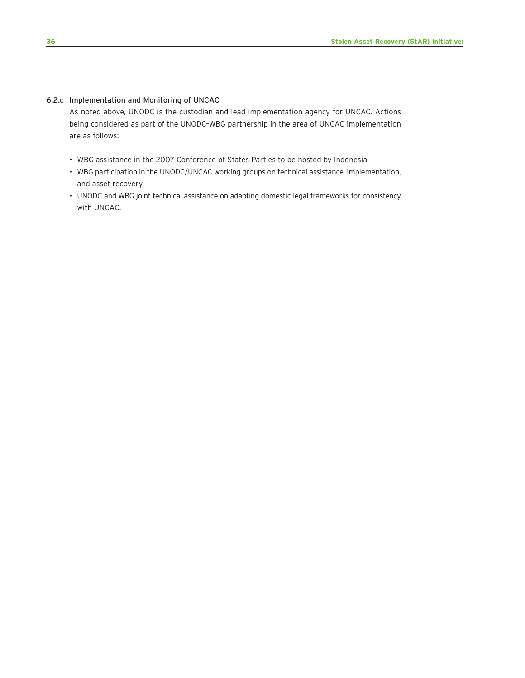#### 6.2.c Implementation and Monitoring of UNCAC

As noted above, UNODC is the custodian and lead implementation agency for UNCAC. Actions being considered as part of the UNODC–WBG partnership in the area of UNCAC implementation are as follows:

- WBG assistance in the 2007 Conference of States Parties to be hosted by Indonesia
- WBG participation in the UNODC/UNCAC working groups on technical assistance, implementation, and asset recovery
- UNODC and WBG joint technical assistance on adapting domestic legal frameworks for consistency with UNCAC.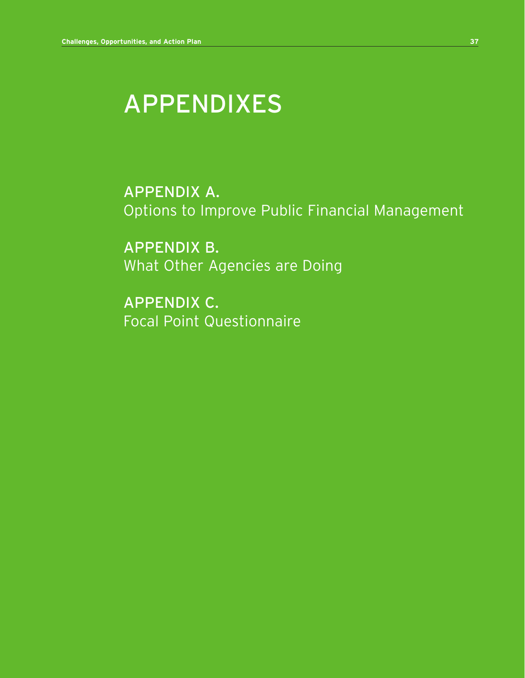# APPENDIXES

APPENDIX A. Options to Improve Public Financial Management

APPENDIX B. What Other Agencies are Doing

APPENDIX C. Focal Point Questionnaire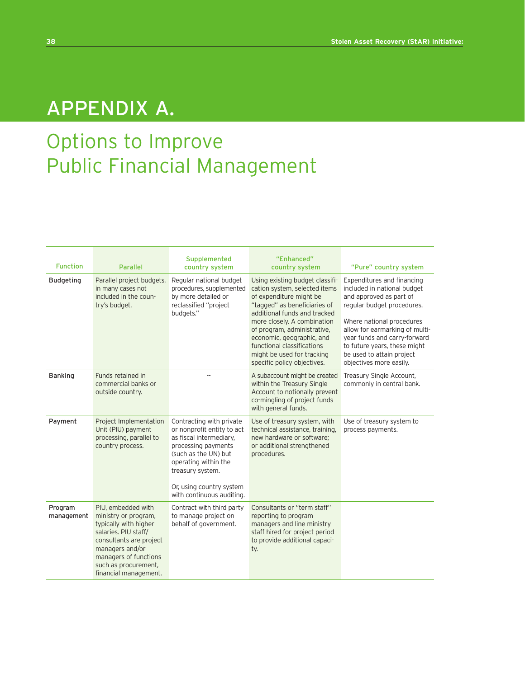# APPENDIX A.

# Options to Improve Public Financial Management

| <b>Function</b>       | <b>Parallel</b>                                                                                                                                                                                                     | Supplemented<br>country system                                                                                                                                                                                                        | "Enhanced"<br>country system                                                                                                                                                                                                                                                                                                                      | "Pure" country system                                                                                                                                                                                                                                                                                     |
|-----------------------|---------------------------------------------------------------------------------------------------------------------------------------------------------------------------------------------------------------------|---------------------------------------------------------------------------------------------------------------------------------------------------------------------------------------------------------------------------------------|---------------------------------------------------------------------------------------------------------------------------------------------------------------------------------------------------------------------------------------------------------------------------------------------------------------------------------------------------|-----------------------------------------------------------------------------------------------------------------------------------------------------------------------------------------------------------------------------------------------------------------------------------------------------------|
| <b>Budgeting</b>      | Parallel project budgets,<br>in many cases not<br>included in the coun-<br>try's budget.                                                                                                                            | Regular national budget<br>procedures, supplemented<br>by more detailed or<br>reclassified "project<br>budgets."                                                                                                                      | Using existing budget classifi-<br>cation system, selected items<br>of expenditure might be<br>"tagged" as beneficiaries of<br>additional funds and tracked<br>more closely. A combination<br>of program, administrative,<br>economic, geographic, and<br>functional classifications<br>might be used for tracking<br>specific policy objectives. | Expenditures and financing<br>included in national budget<br>and approved as part of<br>regular budget procedures.<br>Where national procedures<br>allow for earmarking of multi-<br>year funds and carry-forward<br>to future years, these might<br>be used to attain project<br>objectives more easily. |
| <b>Banking</b>        | Funds retained in<br>commercial banks or<br>outside country.                                                                                                                                                        |                                                                                                                                                                                                                                       | A subaccount might be created<br>within the Treasury Single<br>Account to notionally prevent<br>co-mingling of project funds<br>with general funds.                                                                                                                                                                                               | Treasury Single Account,<br>commonly in central bank.                                                                                                                                                                                                                                                     |
| Payment               | Project Implementation<br>Unit (PIU) payment<br>processing, parallel to<br>country process.                                                                                                                         | Contracting with private<br>or nonprofit entity to act<br>as fiscal intermediary,<br>processing payments<br>(such as the UN) but<br>operating within the<br>treasury system.<br>Or, using country system<br>with continuous auditing. | Use of treasury system, with<br>technical assistance, training,<br>new hardware or software;<br>or additional strengthened<br>procedures.                                                                                                                                                                                                         | Use of treasury system to<br>process payments.                                                                                                                                                                                                                                                            |
| Program<br>management | PIU, embedded with<br>ministry or program,<br>typically with higher<br>salaries. PIU staff/<br>consultants are project<br>managers and/or<br>managers of functions<br>such as procurement,<br>financial management. | Contract with third party<br>to manage project on<br>behalf of government.                                                                                                                                                            | Consultants or "term staff"<br>reporting to program<br>managers and line ministry<br>staff hired for project period<br>to provide additional capaci-<br>ty.                                                                                                                                                                                       |                                                                                                                                                                                                                                                                                                           |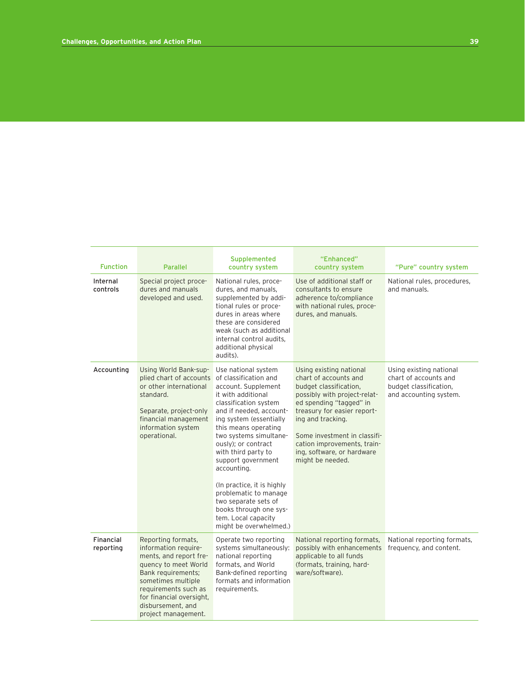| <b>Function</b>        | <b>Parallel</b>                                                                                                                                                                                                                          | Supplemented<br>country system                                                                                                                                                                                                                                                                                                                                                                                                                                          | "Enhanced"<br>country system                                                                                                                                                                                                                                                                               | "Pure" country system                                                                                |
|------------------------|------------------------------------------------------------------------------------------------------------------------------------------------------------------------------------------------------------------------------------------|-------------------------------------------------------------------------------------------------------------------------------------------------------------------------------------------------------------------------------------------------------------------------------------------------------------------------------------------------------------------------------------------------------------------------------------------------------------------------|------------------------------------------------------------------------------------------------------------------------------------------------------------------------------------------------------------------------------------------------------------------------------------------------------------|------------------------------------------------------------------------------------------------------|
| Internal<br>controls   | Special project proce-<br>dures and manuals<br>developed and used.                                                                                                                                                                       | National rules, proce-<br>dures, and manuals,<br>supplemented by addi-<br>tional rules or proce-<br>dures in areas where<br>these are considered<br>weak (such as additional<br>internal control audits,<br>additional physical<br>audits).                                                                                                                                                                                                                             | Use of additional staff or<br>consultants to ensure<br>adherence to/compliance<br>with national rules, proce-<br>dures, and manuals.                                                                                                                                                                       | National rules, procedures,<br>and manuals.                                                          |
| Accounting             | Using World Bank-sup-<br>plied chart of accounts<br>or other international<br>standard.<br>Separate, project-only<br>financial management<br>information system<br>operational.                                                          | Use national system<br>of classification and<br>account. Supplement<br>it with additional<br>classification system<br>and if needed, account-<br>ing system (essentially<br>this means operating<br>two systems simultane-<br>ously); or contract<br>with third party to<br>support government<br>accounting.<br>(In practice, it is highly<br>problematic to manage<br>two separate sets of<br>books through one sys-<br>tem. Local capacity<br>might be overwhelmed.) | Using existing national<br>chart of accounts and<br>budget classification,<br>possibly with project-relat-<br>ed spending "tagged" in<br>treasury for easier report-<br>ing and tracking.<br>Some investment in classifi-<br>cation improvements, train-<br>ing, software, or hardware<br>might be needed. | Using existing national<br>chart of accounts and<br>budget classification,<br>and accounting system. |
| Financial<br>reporting | Reporting formats,<br>information require-<br>ments, and report fre-<br>quency to meet World<br>Bank requirements;<br>sometimes multiple<br>requirements such as<br>for financial oversight,<br>disbursement, and<br>project management. | Operate two reporting<br>systems simultaneously:<br>national reporting<br>formats, and World<br>Bank-defined reporting<br>formats and information<br>requirements.                                                                                                                                                                                                                                                                                                      | National reporting formats,<br>possibly with enhancements<br>applicable to all funds<br>(formats, training, hard-<br>ware/software).                                                                                                                                                                       | National reporting formats,<br>frequency, and content.                                               |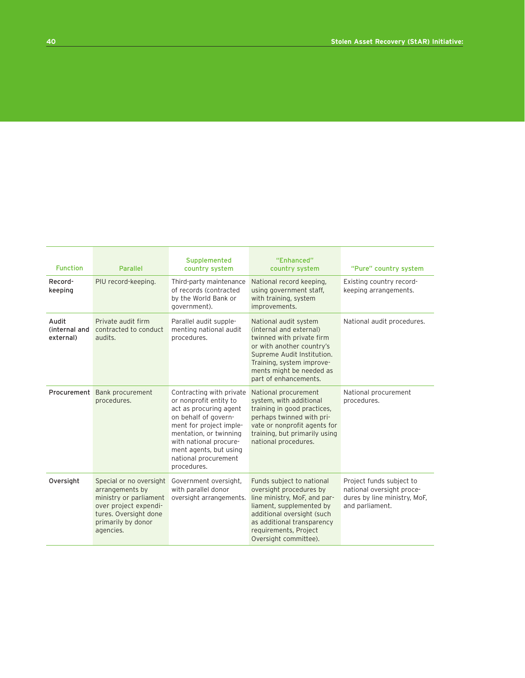| <b>Function</b>                     | <b>Parallel</b>                                                                                                                                           | Supplemented<br>country system                                                                                                                                                                                                                       | "Enhanced"<br>country system                                                                                                                                                                                                   | "Pure" country system                                                                                    |
|-------------------------------------|-----------------------------------------------------------------------------------------------------------------------------------------------------------|------------------------------------------------------------------------------------------------------------------------------------------------------------------------------------------------------------------------------------------------------|--------------------------------------------------------------------------------------------------------------------------------------------------------------------------------------------------------------------------------|----------------------------------------------------------------------------------------------------------|
| Record-<br>keeping                  | PIU record-keeping.                                                                                                                                       | Third-party maintenance<br>of records (contracted<br>by the World Bank or<br>government).                                                                                                                                                            | National record keeping,<br>using government staff,<br>with training, system<br>improvements.                                                                                                                                  | Existing country record-<br>keeping arrangements.                                                        |
| Audit<br>(internal and<br>external) | Private audit firm<br>contracted to conduct<br>audits.                                                                                                    | Parallel audit supple-<br>menting national audit<br>procedures.                                                                                                                                                                                      | National audit system<br>(internal and external)<br>twinned with private firm<br>or with another country's<br>Supreme Audit Institution.<br>Training, system improve-<br>ments might be needed as<br>part of enhancements.     | National audit procedures.                                                                               |
|                                     | Procurement Bank procurement<br>procedures.                                                                                                               | Contracting with private<br>or nonprofit entity to<br>act as procuring agent<br>on behalf of govern-<br>ment for project imple-<br>mentation, or twinning<br>with national procure-<br>ment agents, but using<br>national procurement<br>procedures. | National procurement<br>system, with additional<br>training in good practices,<br>perhaps twinned with pri-<br>vate or nonprofit agents for<br>training, but primarily using<br>national procedures.                           | National procurement<br>procedures.                                                                      |
| Oversight                           | Special or no oversight<br>arrangements by<br>ministry or parliament<br>over project expendi-<br>tures. Oversight done<br>primarily by donor<br>agencies. | Government oversight,<br>with parallel donor<br>oversight arrangements.                                                                                                                                                                              | Funds subject to national<br>oversight procedures by<br>line ministry, MoF, and par-<br>liament, supplemented by<br>additional oversight (such<br>as additional transparency<br>requirements, Project<br>Oversight committee). | Project funds subject to<br>national oversight proce-<br>dures by line ministry, MoF,<br>and parliament. |

**The Contract**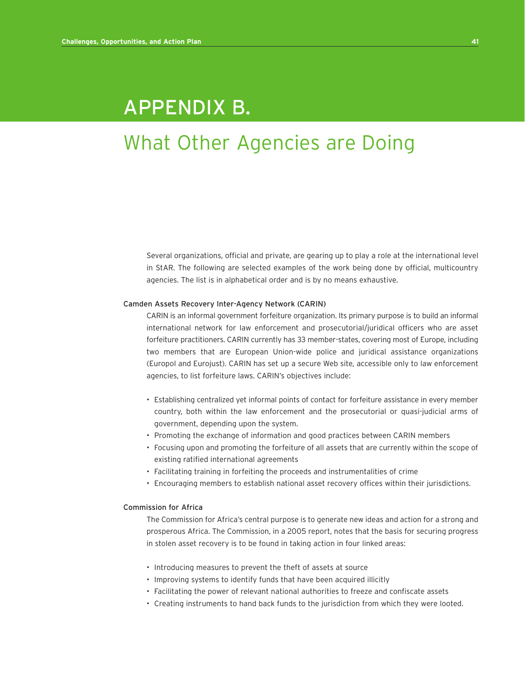## APPENDIX B.

# What Other Agencies are Doing

Several organizations, official and private, are gearing up to play a role at the international level in StAR. The following are selected examples of the work being done by official, multicountry agencies. The list is in alphabetical order and is by no means exhaustive.

#### Camden Assets Recovery Inter-Agency Network (CARIN)

CARIN is an informal government forfeiture organization. Its primary purpose is to build an informal international network for law enforcement and prosecutorial/juridical officers who are asset forfeiture practitioners. CARIN currently has 33 member-states, covering most of Europe, including two members that are European Union-wide police and juridical assistance organizations (Europol and Eurojust). CARIN has set up a secure Web site, accessible only to law enforcement agencies, to list forfeiture laws. CARIN's objectives include:

- Establishing centralized yet informal points of contact for forfeiture assistance in every member country, both within the law enforcement and the prosecutorial or quasi-judicial arms of government, depending upon the system.
- Promoting the exchange of information and good practices between CARIN members
- Focusing upon and promoting the forfeiture of all assets that are currently within the scope of existing ratified international agreements
- Facilitating training in forfeiting the proceeds and instrumentalities of crime
- Encouraging members to establish national asset recovery offices within their jurisdictions.

#### Commission for Africa

The Commission for Africa's central purpose is to generate new ideas and action for a strong and prosperous Africa. The Commission, in a 2005 report, notes that the basis for securing progress in stolen asset recovery is to be found in taking action in four linked areas:

- Introducing measures to prevent the theft of assets at source
- Improving systems to identify funds that have been acquired illicitly
- Facilitating the power of relevant national authorities to freeze and confiscate assets
- Creating instruments to hand back funds to the jurisdiction from which they were looted.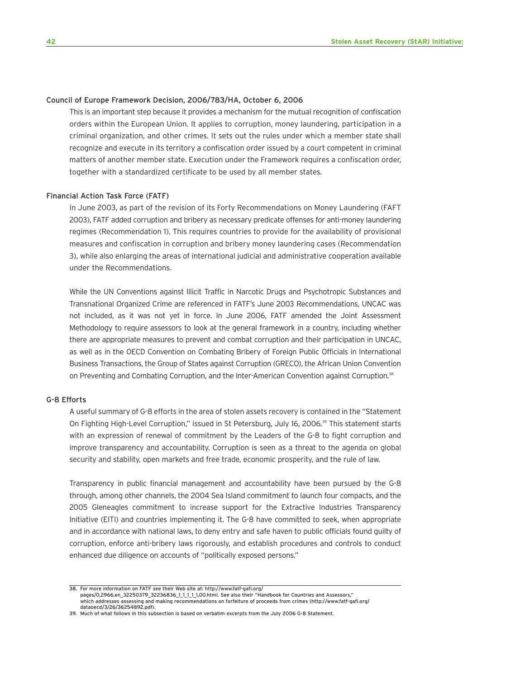#### Council of Europe Framework Decision, 2006/783/HA, October 6, 2006

This is an important step because it provides a mechanism for the mutual recognition of confiscation orders within the European Union. It applies to corruption, money laundering, participation in a criminal organization, and other crimes. It sets out the rules under which a member state shall recognize and execute in its territory a confiscation order issued by a court competent in criminal matters of another member state. Execution under the Framework requires a confiscation order, together with a standardized certificate to be used by all member states.

#### Financial Action Task Force (FATF)

In June 2003, as part of the revision of its Forty Recommendations on Money Laundering (FAFT 2003), FATF added corruption and bribery as necessary predicate offenses for anti-money laundering regimes (Recommendation 1). This requires countries to provide for the availability of provisional measures and confiscation in corruption and bribery money laundering cases (Recommendation 3), while also enlarging the areas of international judicial and administrative cooperation available under the Recommendations.

While the UN Conventions against Illicit Traffic in Narcotic Drugs and Psychotropic Substances and Transnational Organized Crime are referenced in FATF's June 2003 Recommendations, UNCAC was not included, as it was not yet in force. In June 2006, FATF amended the Joint Assessment Methodology to require assessors to look at the general framework in a country, including whether there are appropriate measures to prevent and combat corruption and their participation in UNCAC, as well as in the OECD Convention on Combating Bribery of Foreign Public Officials in International Business Transactions, the Group of States against Corruption (GRECO), the African Union Convention on Preventing and Combating Corruption, and the Inter-American Convention against Corruption.<sup>38</sup>

#### G-8 Efforts

A useful summary of G-8 efforts in the area of stolen assets recovery is contained in the "Statement On Fighting High-Level Corruption," issued in St Petersburg, July 16, 2006.<sup>39</sup> This statement starts with an expression of renewal of commitment by the Leaders of the G-8 to fight corruption and improve transparency and accountability. Corruption is seen as a threat to the agenda on global security and stability, open markets and free trade, economic prosperity, and the rule of law.

Transparency in public financial management and accountability have been pursued by the G-8 through, among other channels, the 2004 Sea Island commitment to launch four compacts, and the 2005 Gleneagles commitment to increase support for the Extractive Industries Transparency Initiative (EITI) and countries implementing it. The G-8 have committed to seek, when appropriate and in accordance with national laws, to deny entry and safe haven to public officials found guilty of corruption, enforce anti-bribery laws rigorously, and establish procedures and controls to conduct enhanced due diligence on accounts of "politically exposed persons."

<sup>38.</sup> For more information on FATF see their Web site at: http://www.fatf-gafi.org/

pages/0,2966,en\_32250379\_32236836\_1\_1\_1\_1\_1,00.html. See also their "Handbook for Countries and Assessors,' which addresses assessing and making recommendations on forfeiture of proceeds from crimes (http://www.fatf-gafi.org/ dataoecd/3/26/36254892.pdf).

<sup>39.</sup> Much of what follows in this subsection is based on verbatim excerpts from the July 2006 G-8 Statement.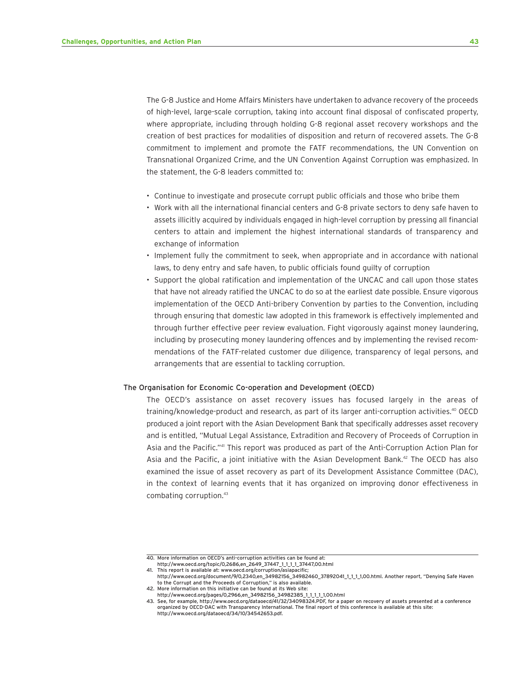The G-8 Justice and Home Affairs Ministers have undertaken to advance recovery of the proceeds of high-level, large-scale corruption, taking into account final disposal of confiscated property, where appropriate, including through holding G-8 regional asset recovery workshops and the creation of best practices for modalities of disposition and return of recovered assets. The G-8 commitment to implement and promote the FATF recommendations, the UN Convention on Transnational Organized Crime, and the UN Convention Against Corruption was emphasized. In the statement, the G-8 leaders committed to:

- Continue to investigate and prosecute corrupt public officials and those who bribe them
- Work with all the international financial centers and G-8 private sectors to deny safe haven to assets illicitly acquired by individuals engaged in high-level corruption by pressing all financial centers to attain and implement the highest international standards of transparency and exchange of information
- Implement fully the commitment to seek, when appropriate and in accordance with national laws, to deny entry and safe haven, to public officials found guilty of corruption
- Support the global ratification and implementation of the UNCAC and call upon those states that have not already ratified the UNCAC to do so at the earliest date possible. Ensure vigorous implementation of the OECD Anti-bribery Convention by parties to the Convention, including through ensuring that domestic law adopted in this framework is effectively implemented and through further effective peer review evaluation. Fight vigorously against money laundering, including by prosecuting money laundering offences and by implementing the revised recommendations of the FATF-related customer due diligence, transparency of legal persons, and arrangements that are essential to tackling corruption.

#### The Organisation for Economic Co-operation and Development (OECD)

The OECD's assistance on asset recovery issues has focused largely in the areas of training/knowledge-product and research, as part of its larger anti-corruption activities.<sup>40</sup> OECD produced a joint report with the Asian Development Bank that specifically addresses asset recovery and is entitled, "Mutual Legal Assistance, Extradition and Recovery of Proceeds of Corruption in Asia and the Pacific."41 This report was produced as part of the Anti-Corruption Action Plan for Asia and the Pacific, a joint initiative with the Asian Development Bank. $42$  The OECD has also examined the issue of asset recovery as part of its Development Assistance Committee (DAC), in the context of learning events that it has organized on improving donor effectiveness in combating corruption.<sup>43</sup>

http://www.oecd.org/topic/0,2686,en\_2649\_37447\_1\_1\_1\_1\_37447,00.html 41. This report is available at: www.oecd.org/corruption/asiapacific;

<sup>40.</sup> More information on OECD's anti-corruption activities can be found at:

http://www.oecd.org/document/9/0,2340,en\_34982156\_34982460\_37892041\_1\_1\_1\_1,00.html. Another report, "Denying Safe Haven to the Corrupt and the Proceeds of Corruption," is also available. 42. More information on this initiative can be found at its Web site:

http://www.oecd.org/pages/0,2966,en\_34982156\_34982385\_1\_1\_1\_1\_1,00.html

<sup>43.</sup> See, for example, http://www.oecd.org/dataoecd/41/32/34098324.PDF, for a paper on recovery of assets presented at a conference organized by OECD-DAC with Transparency International. The final report of this conference is available at this site: http://www.oecd.org/dataoecd/34/10/34542653.pdf.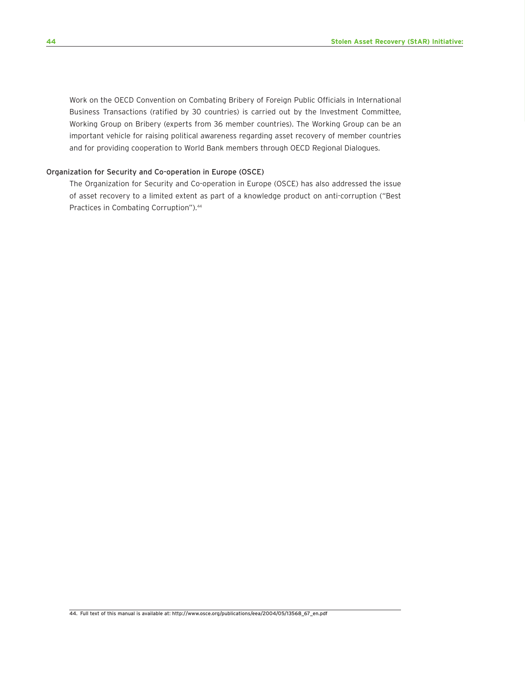Work on the OECD Convention on Combating Bribery of Foreign Public Officials in International Business Transactions (ratified by 30 countries) is carried out by the Investment Committee, Working Group on Bribery (experts from 36 member countries). The Working Group can be an important vehicle for raising political awareness regarding asset recovery of member countries and for providing cooperation to World Bank members through OECD Regional Dialogues.

#### Organization for Security and Co-operation in Europe (OSCE)

The Organization for Security and Co-operation in Europe (OSCE) has also addressed the issue of asset recovery to a limited extent as part of a knowledge product on anti-corruption ("Best Practices in Combating Corruption").<sup>44</sup>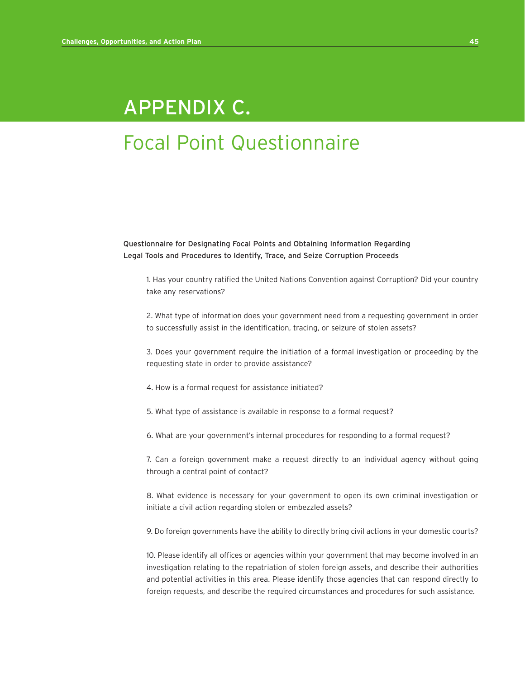# APPENDIX C.

# Focal Point Questionnaire

Questionnaire for Designating Focal Points and Obtaining Information Regarding Legal Tools and Procedures to Identify, Trace, and Seize Corruption Proceeds

1. Has your country ratified the United Nations Convention against Corruption? Did your country take any reservations?

2. What type of information does your government need from a requesting government in order to successfully assist in the identification, tracing, or seizure of stolen assets?

3. Does your government require the initiation of a formal investigation or proceeding by the requesting state in order to provide assistance?

4. How is a formal request for assistance initiated?

- 5. What type of assistance is available in response to a formal request?
- 6. What are your government's internal procedures for responding to a formal request?

7. Can a foreign government make a request directly to an individual agency without going through a central point of contact?

8. What evidence is necessary for your government to open its own criminal investigation or initiate a civil action regarding stolen or embezzled assets?

9. Do foreign governments have the ability to directly bring civil actions in your domestic courts?

10. Please identify all offices or agencies within your government that may become involved in an investigation relating to the repatriation of stolen foreign assets, and describe their authorities and potential activities in this area. Please identify those agencies that can respond directly to foreign requests, and describe the required circumstances and procedures for such assistance.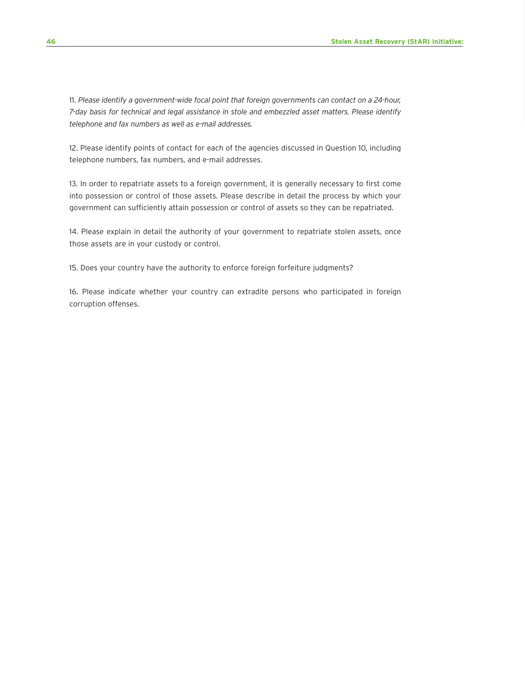11. *Please identify a government-wide focal point that foreign governments can contact on a 24-hour, 7-day basis for technical and legal assistance in stole and embezzled asset matters. Please identify telephone and fax numbers as well as e-mail addresses.*

12. Please identify points of contact for each of the agencies discussed in Question 10, including telephone numbers, fax numbers, and e-mail addresses.

13. In order to repatriate assets to a foreign government, it is generally necessary to first come into possession or control of those assets. Please describe in detail the process by which your government can sufficiently attain possession or control of assets so they can be repatriated.

14. Please explain in detail the authority of your government to repatriate stolen assets, once those assets are in your custody or control.

15. Does your country have the authority to enforce foreign forfeiture judgments?

16. Please indicate whether your country can extradite persons who participated in foreign corruption offenses.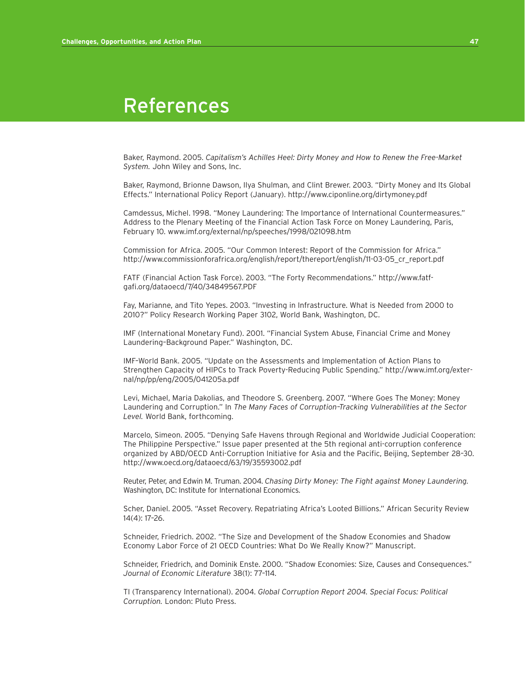## References

Baker, Raymond. 2005. *Capitalism's Achilles Heel: Dirty Money and How to Renew the Free-Market System.* John Wiley and Sons, Inc.

Baker, Raymond, Brionne Dawson, Ilya Shulman, and Clint Brewer. 2003. "Dirty Money and Its Global Effects." International Policy Report (January). http://www.ciponline.org/dirtymoney.pdf

Camdessus, Michel. 1998. "Money Laundering: The Importance of International Countermeasures." Address to the Plenary Meeting of the Financial Action Task Force on Money Laundering, Paris, February 10. www.imf.org/external/np/speeches/1998/021098.htm

Commission for Africa. 2005. "Our Common Interest: Report of the Commission for Africa." http://www.commissionforafrica.org/english/report/thereport/english/11-03-05\_cr\_report.pdf

FATF (Financial Action Task Force). 2003. "The Forty Recommendations." http://www.fatfgafi.org/dataoecd/7/40/34849567.PDF

Fay, Marianne, and Tito Yepes. 2003. "Investing in Infrastructure. What is Needed from 2000 to 2010?" Policy Research Working Paper 3102, World Bank, Washington, DC.

IMF (International Monetary Fund). 2001. "Financial System Abuse, Financial Crime and Money Laundering–Background Paper." Washington, DC.

IMF–World Bank. 2005. "Update on the Assessments and Implementation of Action Plans to Strengthen Capacity of HIPCs to Track Poverty-Reducing Public Spending." http://www.imf.org/external/np/pp/eng/2005/041205a.pdf

Levi, Michael, Maria Dakolias, and Theodore S. Greenberg. 2007. "Where Goes The Money: Money Laundering and Corruption." In *The Many Faces of Corruption–Tracking Vulnerabilities at the Sector Level.* World Bank, forthcoming.

Marcelo, Simeon. 2005. "Denying Safe Havens through Regional and Worldwide Judicial Cooperation: The Philippine Perspective." Issue paper presented at the 5th regional anti-corruption conference organized by ABD/OECD Anti-Corruption Initiative for Asia and the Pacific, Beijing, September 28–30. http://www.oecd.org/dataoecd/63/19/35593002.pdf

Reuter, Peter, and Edwin M. Truman. 2004. *Chasing Dirty Money: The Fight against Money Laundering.* Washington, DC: Institute for International Economics.

Scher, Daniel. 2005. "Asset Recovery. Repatriating Africa's Looted Billions." African Security Review 14(4): 17–26.

Schneider, Friedrich. 2002. "The Size and Development of the Shadow Economies and Shadow Economy Labor Force of 21 OECD Countries: What Do We Really Know?" Manuscript.

Schneider, Friedrich, and Dominik Enste. 2000. "Shadow Economies: Size, Causes and Consequences." *Journal of Economic Literature* 38(1): 77–114.

TI (Transparency International). 2004. *Global Corruption Report 2004. Special Focus: Political Corruption.* London: Pluto Press.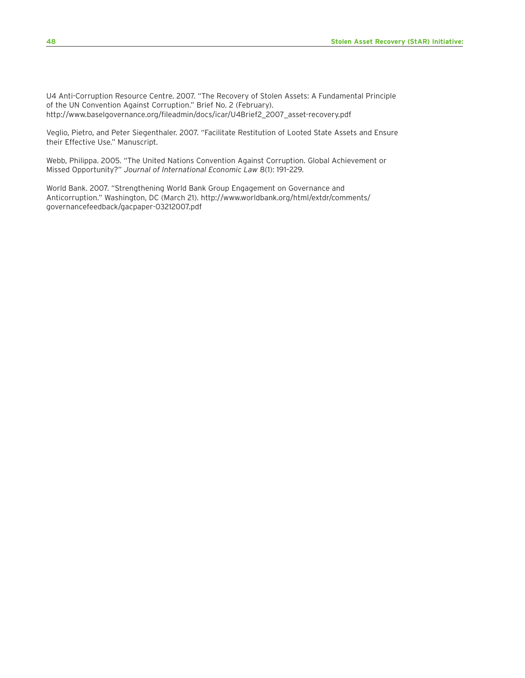U4 Anti-Corruption Resource Centre. 2007. "The Recovery of Stolen Assets: A Fundamental Principle of the UN Convention Against Corruption." Brief No. 2 (February). http://www.baselgovernance.org/fileadmin/docs/icar/U4Brief2\_2007\_asset-recovery.pdf

Veglio, Pietro, and Peter Siegenthaler. 2007. "Facilitate Restitution of Looted State Assets and Ensure their Effective Use." Manuscript.

Webb, Philippa. 2005. "The United Nations Convention Against Corruption. Global Achievement or Missed Opportunity?" *Journal of International Economic Law* 8(1): 191–229.

World Bank. 2007. "Strengthening World Bank Group Engagement on Governance and Anticorruption." Washington, DC (March 21). http://www.worldbank.org/html/extdr/comments/ governancefeedback/gacpaper-03212007.pdf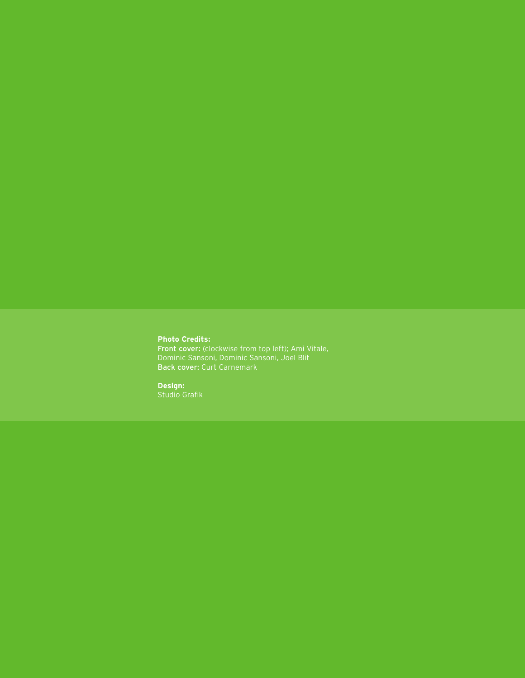#### **Photo Credits:**

Front cover: (clockwise from top left); Ami Vitale, Dominic Sansoni, Dominic Sansoni, Joel Blit Back cover: Curt Carnemark

#### **Design:**